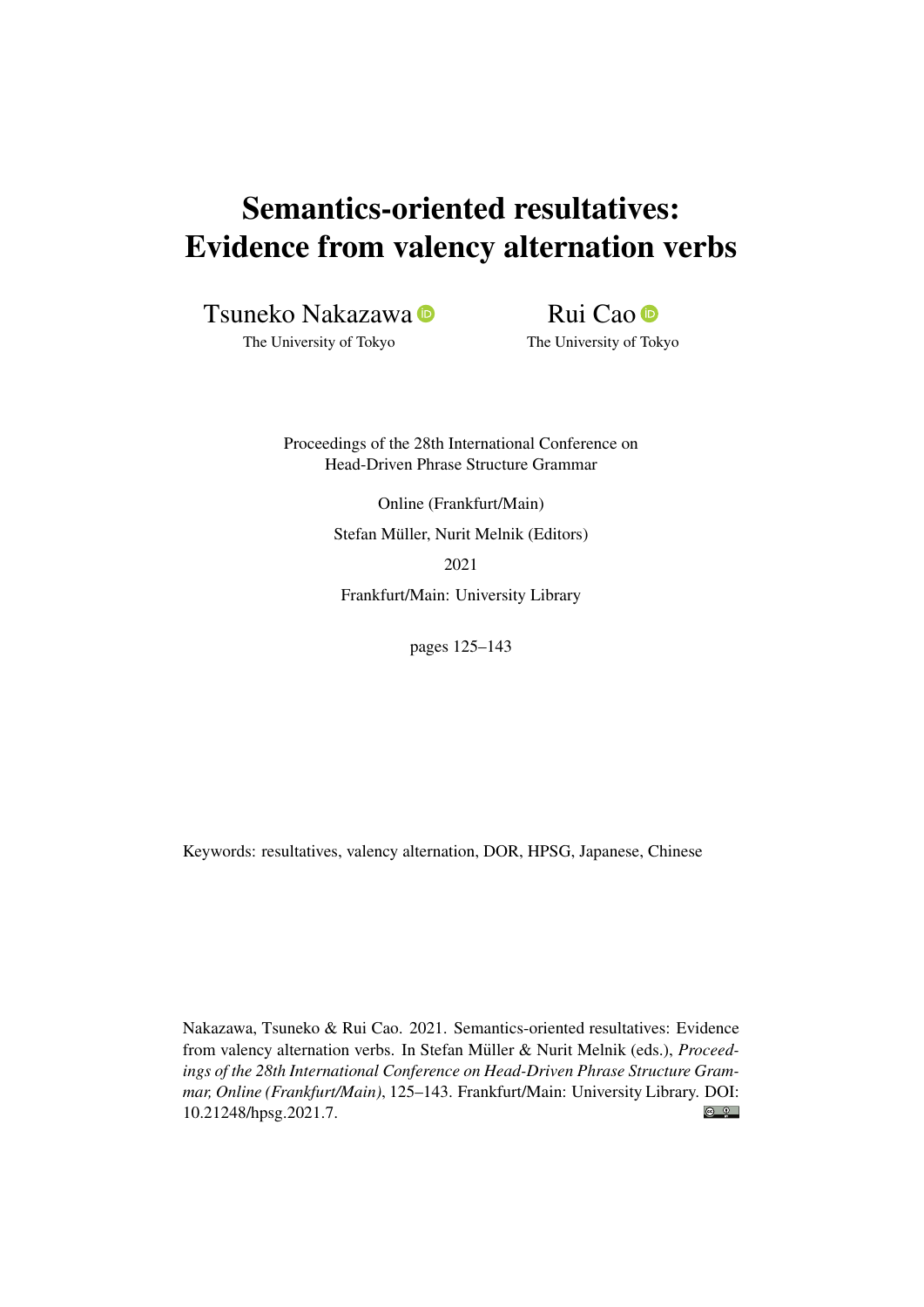# Semantics-oriented resultatives: Evidence from valency alternation verbs

Tsuneko Nakazawa

The University of Tokyo

Rui Cao<sup>o</sup>

The University of Tokyo

Proceedings of the 28th International Conference on Head-Driven Phrase Structure Grammar

> Online (Frankfurt/Main) Stefan Müller, Nurit Melnik (Editors) 2021 Frankfurt/Main: University Library

> > pages 125–143

Keywords: resultatives, valency alternation, DOR, HPSG, Japanese, Chinese

Nakazawa, Tsuneko & Rui Cao. 2021. Semantics-oriented resultatives: Evidence from valency alternation verbs. In Stefan Müller & Nurit Melnik (eds.), *Proceedings of the 28th International Conference on Head-Driven Phrase Structure Grammar, Online (Frankfurt/Main)*, 125–143. Frankfurt/Main: University Library. DOI:  $\odot$   $\odot$ [10.21248/hpsg.2021.7.](http://doi.org/10.21248/hpsg.2021.7)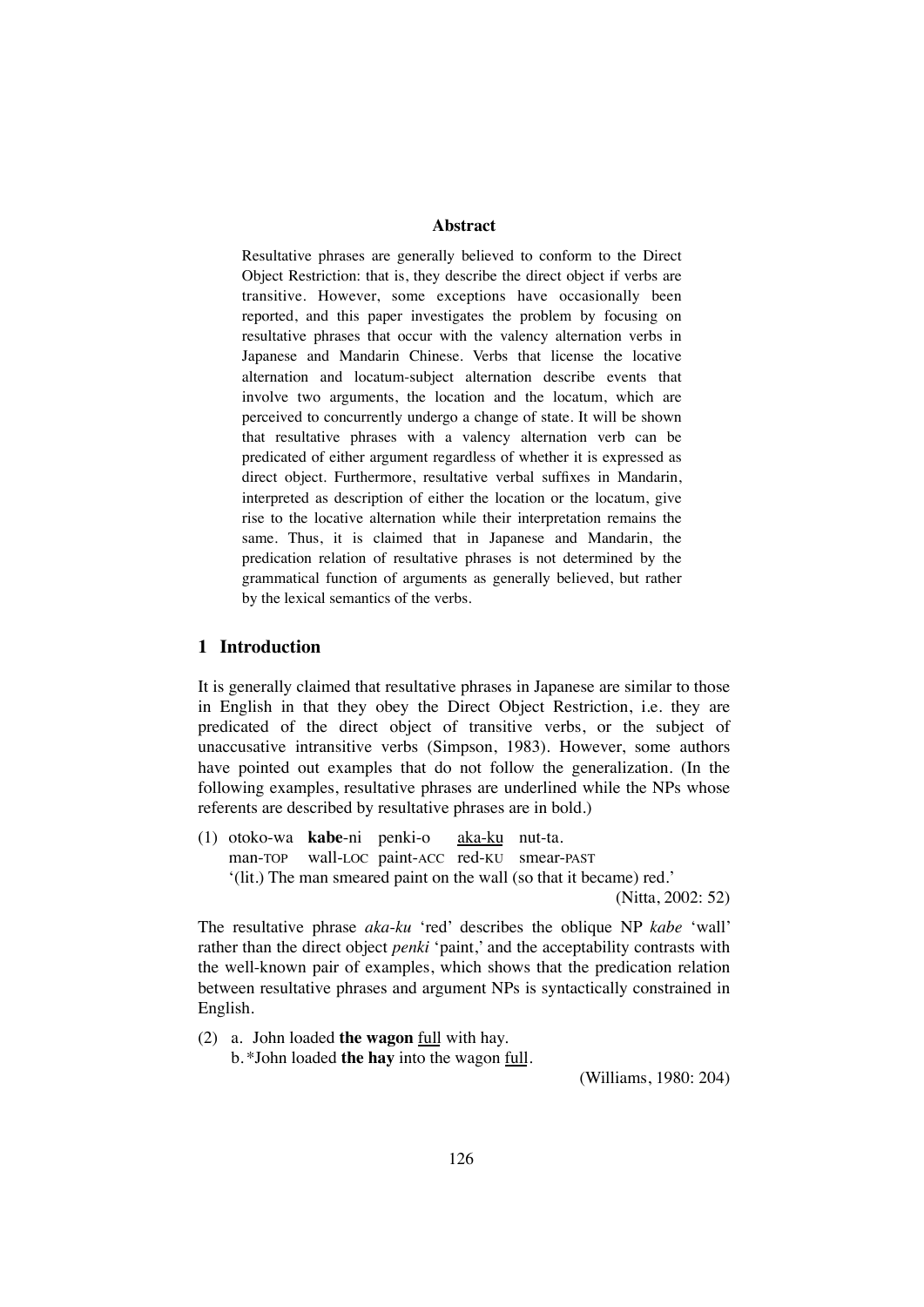#### **Abstract**

Resultative phrases are generally believed to conform to the Direct Object Restriction: that is, they describe the direct object if verbs are transitive. However, some exceptions have occasionally been reported, and this paper investigates the problem by focusing on resultative phrases that occur with the valency alternation verbs in Japanese and Mandarin Chinese. Verbs that license the locative alternation and locatum-subject alternation describe events that involve two arguments, the location and the locatum, which are perceived to concurrently undergo a change of state. It will be shown that resultative phrases with a valency alternation verb can be predicated of either argument regardless of whether it is expressed as direct object. Furthermore, resultative verbal suffixes in Mandarin, interpreted as description of either the location or the locatum, give rise to the locative alternation while their interpretation remains the same. Thus, it is claimed that in Japanese and Mandarin, the predication relation of resultative phrases is not determined by the grammatical function of arguments as generally believed, but rather by the lexical semantics of the verbs.

# **1 Introduction**

It is generally claimed that resultative phrases in Japanese are similar to those in English in that they obey the Direct Object Restriction, i.e. they are predicated of the direct object of transitive verbs, or the subject of unaccusative intransitive verbs (Simpson, 1983). However, some authors have pointed out examples that do not follow the generalization. (In the following examples, resultative phrases are underlined while the NPs whose referents are described by resultative phrases are in bold.)

(1) otoko-wa **kabe**-ni penki-o aka-ku nut-ta*.* man-TOP wall-LOC paint-ACC red-KU smear-PAST '(lit.) The man smeared paint on the wall (so that it became) red.'

(Nitta, 2002: 52)

The resultative phrase *aka*-*ku* 'red' describes the oblique NP *kabe* 'wall' rather than the direct object *penki* 'paint,' and the acceptability contrasts with the well-known pair of examples, which shows that the predication relation between resultative phrases and argument NPs is syntactically constrained in English.

(2) a. John loaded **the wagon** full with hay. b. \*John loaded **the hay** into the wagon full.

(Williams, 1980: 204)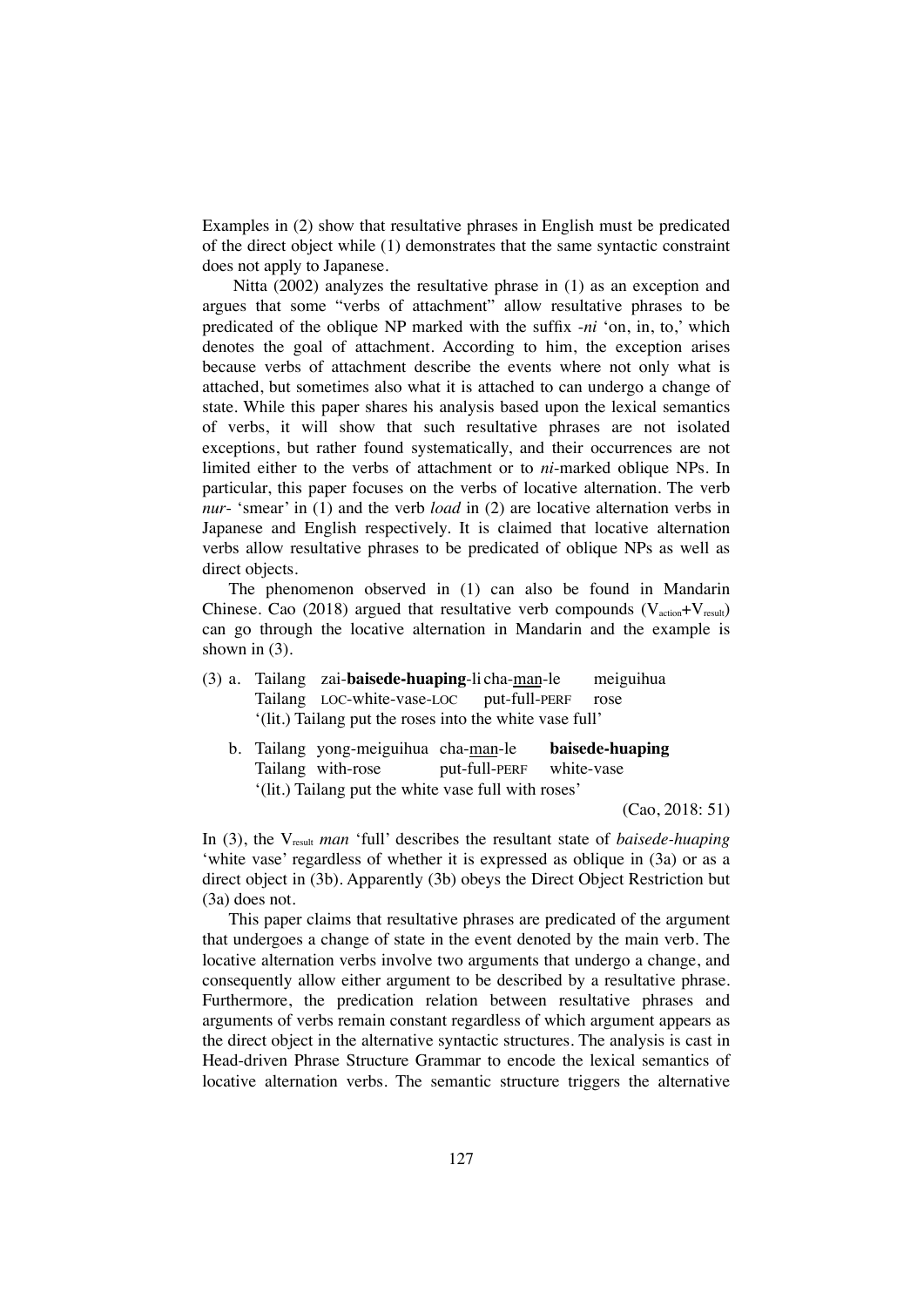Examples in (2) show that resultative phrases in English must be predicated of the direct object while (1) demonstrates that the same syntactic constraint does not apply to Japanese.

Nitta (2002) analyzes the resultative phrase in (1) as an exception and argues that some "verbs of attachment" allow resultative phrases to be predicated of the oblique NP marked with the suffix -*ni* 'on, in, to,' which denotes the goal of attachment. According to him, the exception arises because verbs of attachment describe the events where not only what is attached, but sometimes also what it is attached to can undergo a change of state. While this paper shares his analysis based upon the lexical semantics of verbs, it will show that such resultative phrases are not isolated exceptions, but rather found systematically, and their occurrences are not limited either to the verbs of attachment or to *ni*-marked oblique NPs. In particular, this paper focuses on the verbs of locative alternation. The verb *nur*- 'smear' in (1) and the verb *load* in (2) are locative alternation verbs in Japanese and English respectively. It is claimed that locative alternation verbs allow resultative phrases to be predicated of oblique NPs as well as direct objects.

The phenomenon observed in (1) can also be found in Mandarin Chinese. Cao (2018) argued that resultative verb compounds  $(V_{\text{action}}+V_{\text{result}})$ can go through the locative alternation in Mandarin and the example is shown in  $(3)$ .

- (3) a. Tailang zai-**baisede-huaping**-li cha-man-le meiguihua Tailang LOC-white-vase-LOC put-full-PERF rose '(lit.) Tailang put the roses into the white vase full'
	- b. Tailang yong-meiguihua cha-man-le **baisede-huaping** Tailang with-rose put-full-PERF white-vase '(lit.) Tailang put the white vase full with roses'

(Cao, 2018: 51)

In (3), the V<sub>result</sub> *man* 'full' describes the resultant state of *baisede-huaping* 'white vase' regardless of whether it is expressed as oblique in (3a) or as a direct object in (3b). Apparently (3b) obeys the Direct Object Restriction but (3a) does not.

This paper claims that resultative phrases are predicated of the argument that undergoes a change of state in the event denoted by the main verb. The locative alternation verbs involve two arguments that undergo a change, and consequently allow either argument to be described by a resultative phrase. Furthermore, the predication relation between resultative phrases and arguments of verbs remain constant regardless of which argument appears as the direct object in the alternative syntactic structures. The analysis is cast in Head-driven Phrase Structure Grammar to encode the lexical semantics of locative alternation verbs. The semantic structure triggers the alternative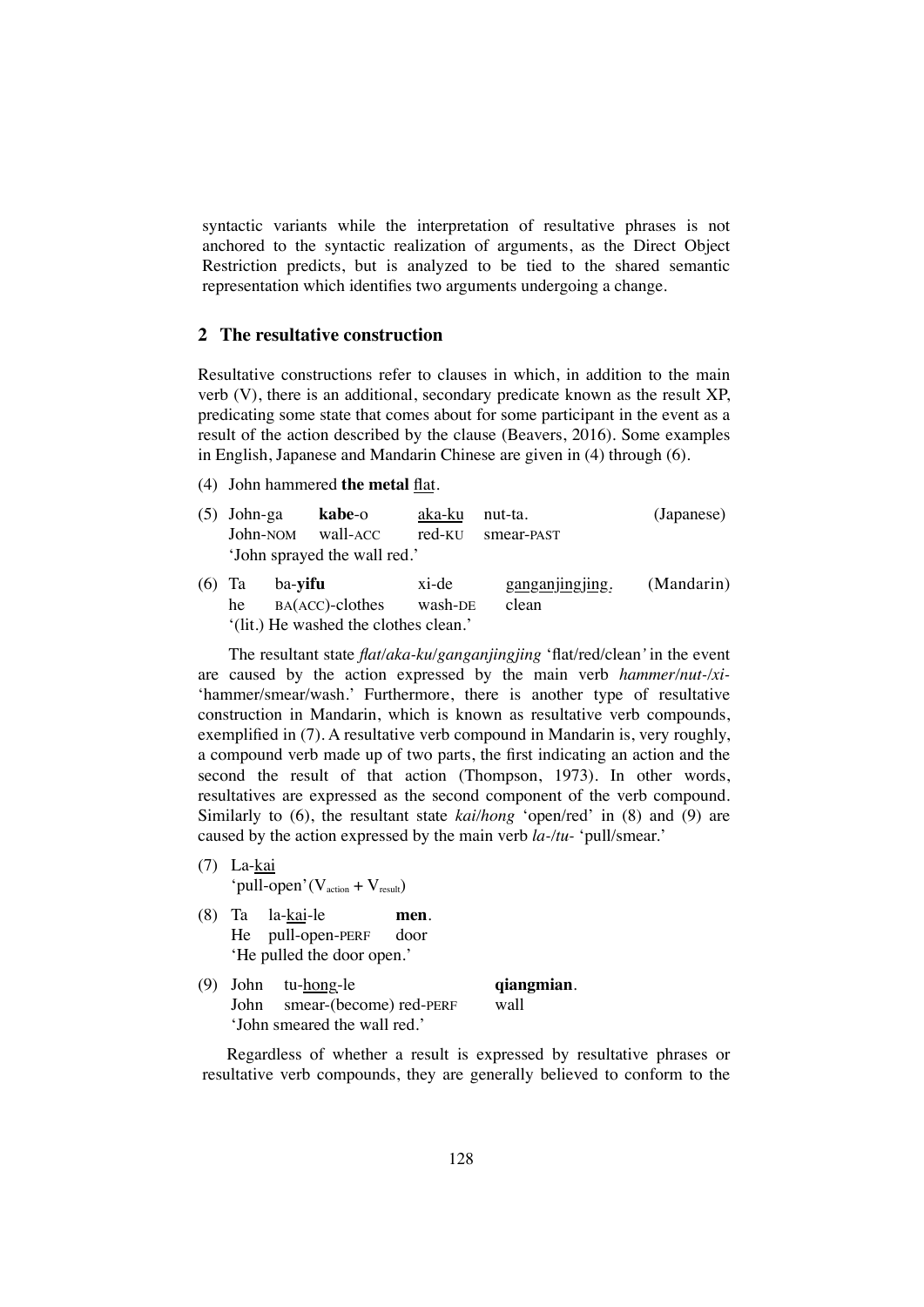syntactic variants while the interpretation of resultative phrases is not anchored to the syntactic realization of arguments, as the Direct Object Restriction predicts, but is analyzed to be tied to the shared semantic representation which identifies two arguments undergoing a change.

# **2 The resultative construction**

Resultative constructions refer to clauses in which, in addition to the main verb (V), there is an additional, secondary predicate known as the result XP, predicating some state that comes about for some participant in the event as a result of the action described by the clause (Beavers, 2016). Some examples in English, Japanese and Mandarin Chinese are given in (4) through (6).

(4) John hammered **the metal** flat.

| $(5)$ John-ga        |                 | <b>kabe-o</b>                | aka-ku nut-ta.   |                        | (Japanese) |
|----------------------|-----------------|------------------------------|------------------|------------------------|------------|
|                      |                 | John-NOM wall-ACC            |                  | red-KU smear-PAST      |            |
|                      |                 | 'John sprayed the wall red.' |                  |                        |            |
| $(6)$ T <sub>a</sub> | ha- <b>vifu</b> |                              | $x$ <i>i</i> -de | $\alpha$ anganiingiing | (Mandarin) |

(6) Ta ba-**yifu** xi-de ganganjingjing. (Mandarin) he BA(ACC)-clothes wash-DE clean '(lit.) He washed the clothes clean.'

The resultant state *flat/aka-ku/ganganjingjing* 'flat/red/clean*'* in the event are caused by the action expressed by the main verb *hammer/nut-/xi-*  'hammer/smear/wash.' Furthermore, there is another type of resultative construction in Mandarin, which is known as resultative verb compounds, exemplified in (7). A resultative verb compound in Mandarin is, very roughly, a compound verb made up of two parts, the first indicating an action and the second the result of that action (Thompson, 1973). In other words, resultatives are expressed as the second component of the verb compound. Similarly to (6), the resultant state *kai/hong* 'open/red' in (8) and (9) are caused by the action expressed by the main verb *la-/tu-* 'pull/smear.'

- (7) La-kai 'pull-open'( $V_{\text{action}} + V_{\text{result}}$ )
- (8) Ta la-kai-le **men**. He pull-open-PERF door 'He pulled the door open.'
- (9) John tu-hong-le **qiangmian**. John smear-(become) red-PERF wall 'John smeared the wall red.'

Regardless of whether a result is expressed by resultative phrases or resultative verb compounds, they are generally believed to conform to the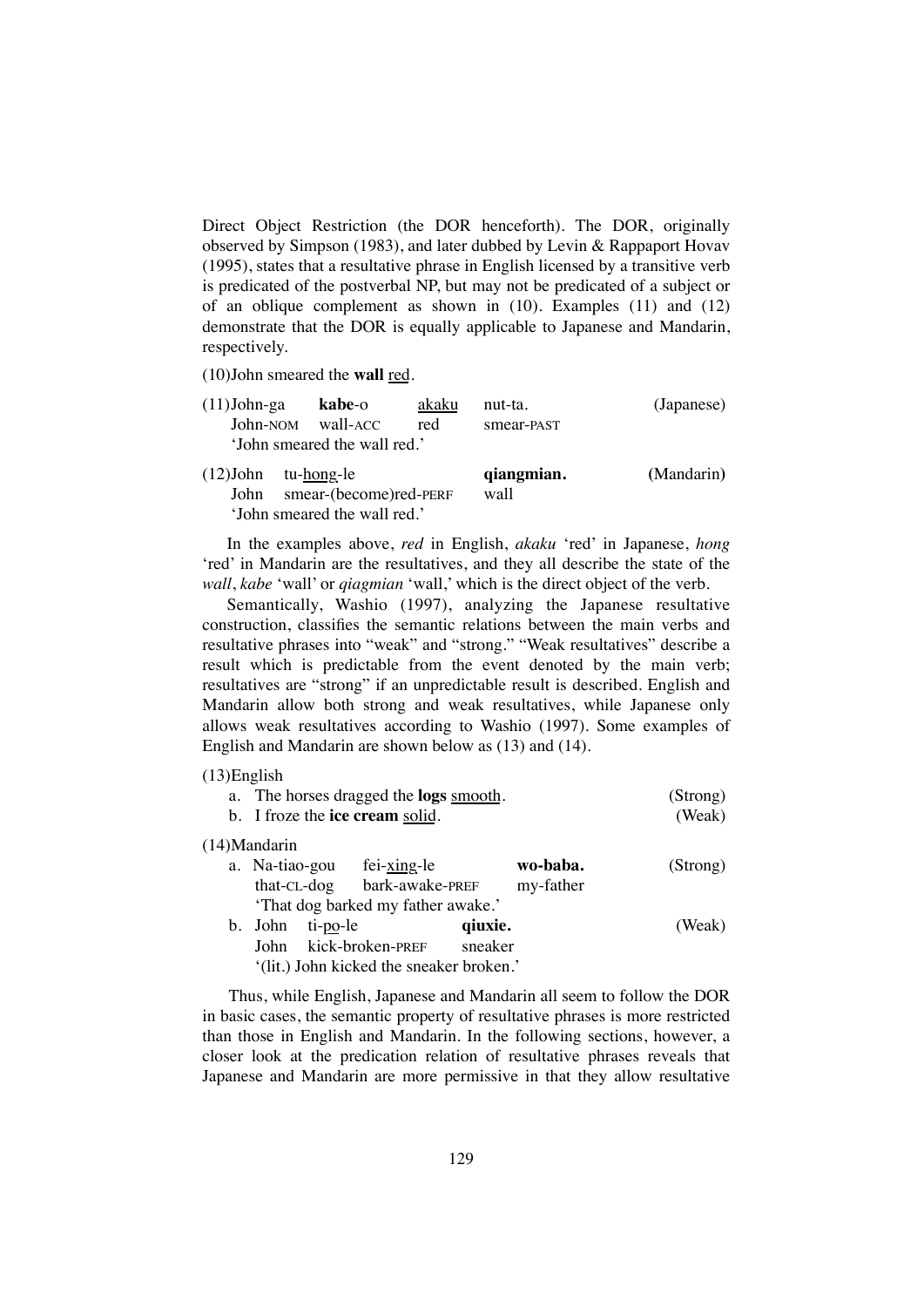Direct Object Restriction (the DOR henceforth). The DOR, originally observed by Simpson (1983), and later dubbed by Levin & Rappaport Hovav (1995), states that a resultative phrase in English licensed by a transitive verb is predicated of the postverbal NP, but may not be predicated of a subject or of an oblique complement as shown in (10). Examples (11) and (12) demonstrate that the DOR is equally applicable to Japanese and Mandarin, respectively.

(10)John smeared the **wall** red.

| $(11)$ John-ga         | kabe-o                       | akaku | nut-ta.    | (Japanese) |
|------------------------|------------------------------|-------|------------|------------|
| John-NOM               | wall-ACC                     | red   | smear-PAST |            |
|                        | 'John smeared the wall red.' |       |            |            |
| $(12)$ John tu-hong-le |                              |       | qiangmian. | (Mandarin) |
| John                   | smear-(become)red-PERF       |       | wall       |            |
|                        | 'John smeared the wall red.' |       |            |            |

In the examples above, *red* in English, *akaku* 'red' in Japanese, *hong* 'red' in Mandarin are the resultatives, and they all describe the state of the *wall*, *kabe* 'wall' or *qiagmian* 'wall,' which is the direct object of the verb.

Semantically, Washio (1997), analyzing the Japanese resultative construction, classifies the semantic relations between the main verbs and resultative phrases into "weak" and "strong." "Weak resultatives" describe a result which is predictable from the event denoted by the main verb; resultatives are "strong" if an unpredictable result is described. English and Mandarin allow both strong and weak resultatives, while Japanese only allows weak resultatives according to Washio (1997). Some examples of English and Mandarin are shown below as (13) and (14).

# (13)English

|                 | a. The horses dragged the <b>logs</b> smooth. |                                          |         |           |          |
|-----------------|-----------------------------------------------|------------------------------------------|---------|-----------|----------|
|                 | b. I froze the ice cream solid.               | (Weak)                                   |         |           |          |
| $(14)$ Mandarin |                                               |                                          |         |           |          |
|                 |                                               | a. Na-tiao-gou fei-xing-le               |         | wo-baba.  | (Strong) |
|                 |                                               | that-CL-dog bark-awake-PREF              |         | my-father |          |
|                 |                                               | 'That dog barked my father awake.'       |         |           |          |
|                 | b. John ti-po-le                              |                                          | qiuxie. |           | (Weak)   |
|                 |                                               | John kick-broken-PREF                    | sneaker |           |          |
|                 |                                               | '(lit.) John kicked the sneaker broken.' |         |           |          |

Thus, while English, Japanese and Mandarin all seem to follow the DOR in basic cases, the semantic property of resultative phrases is more restricted than those in English and Mandarin. In the following sections, however, a closer look at the predication relation of resultative phrases reveals that Japanese and Mandarin are more permissive in that they allow resultative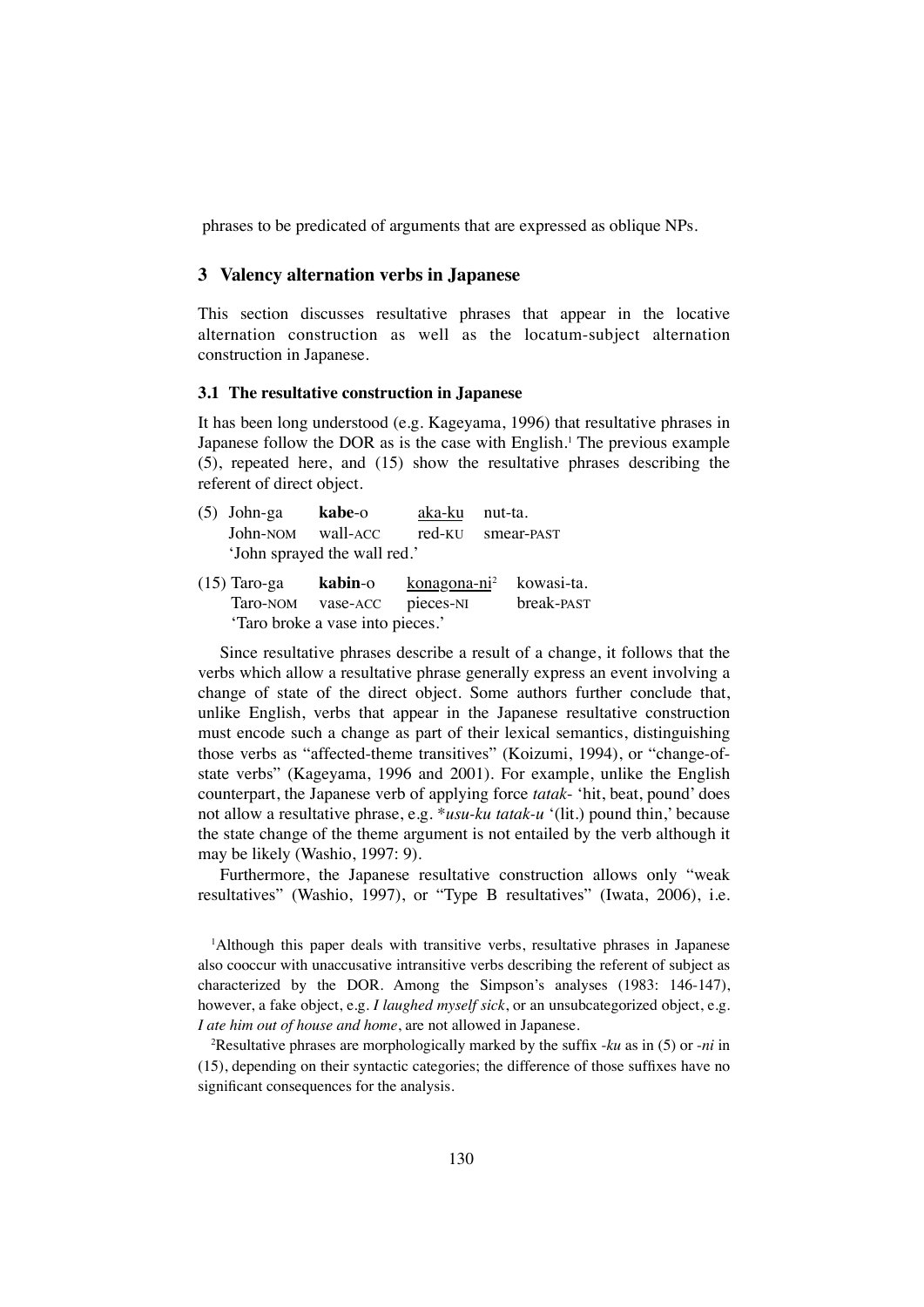phrases to be predicated of arguments that are expressed as oblique NPs.

# **3 Valency alternation verbs in Japanese**

This section discusses resultative phrases that appear in the locative alternation construction as well as the locatum-subject alternation construction in Japanese.

# **3.1 The resultative construction in Japanese**

It has been long understood (e.g. Kageyama, 1996) that resultative phrases in Japanese follow the DOR as is the case with English.<sup>1</sup> The previous example (5), repeated here, and (15) show the resultative phrases describing the referent of direct object.

| $(5)$ John-ga     | kabe-o                       | aka-ku nut-ta. |                   |  |  |  |
|-------------------|------------------------------|----------------|-------------------|--|--|--|
| John-NOM wall-ACC |                              |                | red-KU smear-PAST |  |  |  |
|                   | 'John sprayed the wall red.' |                |                   |  |  |  |

| $(15)$ Taro-ga                   | kabin-o                     | konagona-ni <sup>2</sup> kowasi-ta. |            |  |  |  |
|----------------------------------|-----------------------------|-------------------------------------|------------|--|--|--|
|                                  | Taro-NOM vase-ACC pieces-NI |                                     | break-PAST |  |  |  |
| 'Taro broke a vase into pieces.' |                             |                                     |            |  |  |  |

Since resultative phrases describe a result of a change, it follows that the verbs which allow a resultative phrase generally express an event involving a change of state of the direct object. Some authors further conclude that, unlike English, verbs that appear in the Japanese resultative construction must encode such a change as part of their lexical semantics, distinguishing those verbs as "affected-theme transitives" (Koizumi, 1994), or "change-ofstate verbs" (Kageyama, 1996 and 2001). For example, unlike the English counterpart, the Japanese verb of applying force *tatak*- 'hit, beat, pound' does not allow a resultative phrase, e.g. \**usu-ku tatak-u* '(lit.) pound thin,' because the state change of the theme argument is not entailed by the verb although it may be likely (Washio, 1997: 9).

Furthermore, the Japanese resultative construction allows only "weak resultatives" (Washio, 1997), or "Type B resultatives" (Iwata, 2006), i.e.

<sup>1</sup>Although this paper deals with transitive verbs, resultative phrases in Japanese also cooccur with unaccusative intransitive verbs describing the referent of subject as characterized by the DOR. Among the Simpson's analyses (1983: 146-147), however, a fake object, e.g. *I laughed myself sick*, or an unsubcategorized object, e.g. *I ate him out of house and home*, are not allowed in Japanese.

2 Resultative phrases are morphologically marked by the suffix -*ku* as in (5) or -*ni* in (15), depending on their syntactic categories; the difference of those suffixes have no significant consequences for the analysis.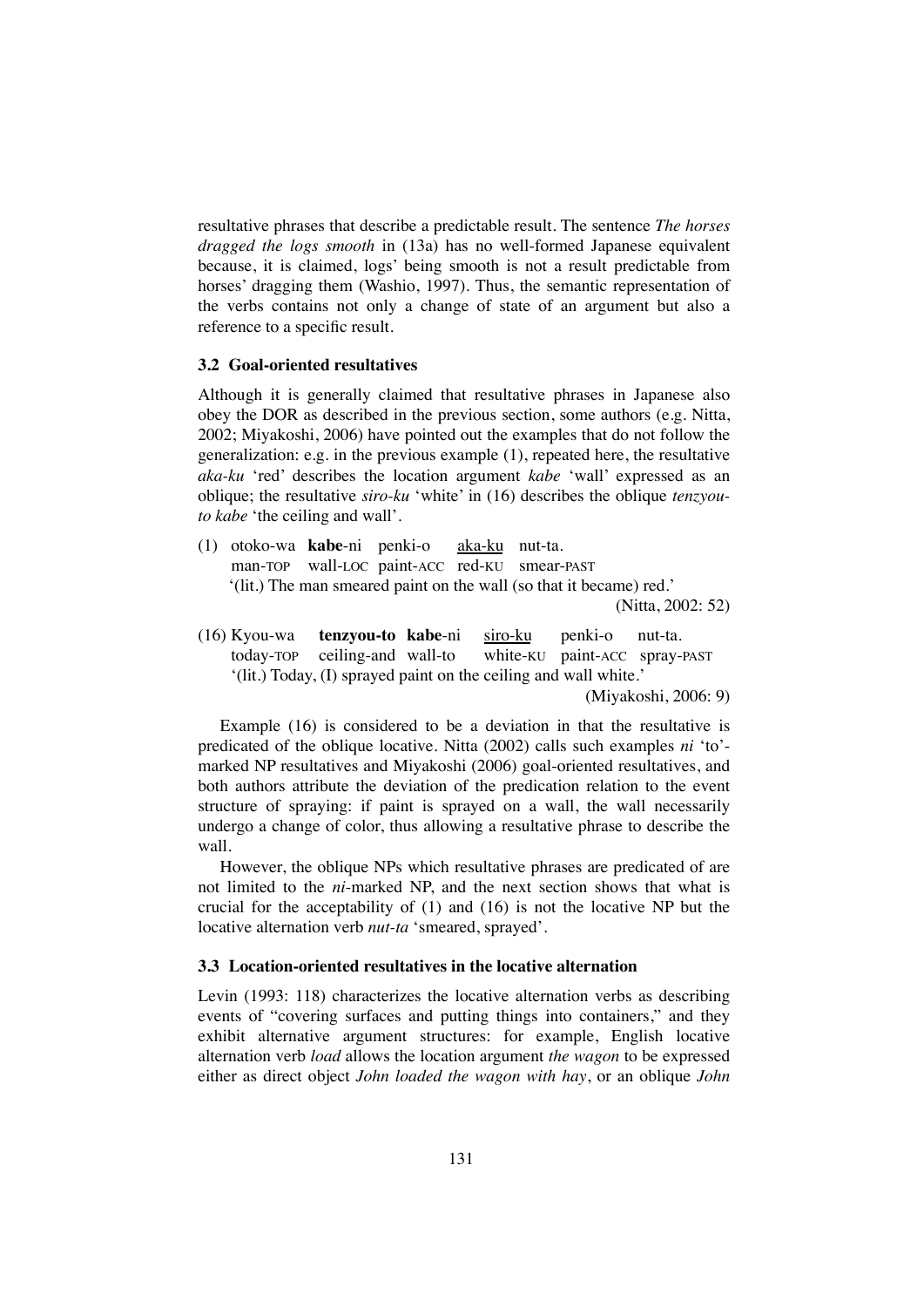resultative phrases that describe a predictable result. The sentence *The horses dragged the logs smooth* in (13a) has no well-formed Japanese equivalent because, it is claimed, logs' being smooth is not a result predictable from horses' dragging them (Washio, 1997). Thus, the semantic representation of the verbs contains not only a change of state of an argument but also a reference to a specific result.

## **3.2 Goal-oriented resultatives**

Although it is generally claimed that resultative phrases in Japanese also obey the DOR as described in the previous section, some authors (e.g. Nitta, 2002; Miyakoshi, 2006) have pointed out the examples that do not follow the generalization: e.g. in the previous example (1), repeated here, the resultative *aka-ku* 'red' describes the location argument *kabe* 'wall' expressed as an oblique; the resultative *siro-ku* 'white' in (16) describes the oblique *tenzyouto kabe* 'the ceiling and wall'.

(1) otoko-wa **kabe**-ni penki-o aka-ku nut-ta*.* man-TOP wall-LOC paint-ACC red-KU smear-PAST '(lit.) The man smeared paint on the wall (so that it became) red.'

(Nitta, 2002: 52)

(16) Kyou-wa **tenzyou-to kabe**-ni siro-ku penki-o nut-ta. today-TOP ceiling-and wall-to white-KU paint-ACC spray-PAST '(lit.) Today, (I) sprayed paint on the ceiling and wall white.'

(Miyakoshi, 2006: 9)

Example (16) is considered to be a deviation in that the resultative is predicated of the oblique locative. Nitta (2002) calls such examples *ni* 'to' marked NP resultatives and Miyakoshi (2006) goal-oriented resultatives, and both authors attribute the deviation of the predication relation to the event structure of spraying: if paint is sprayed on a wall, the wall necessarily undergo a change of color, thus allowing a resultative phrase to describe the wall.

However, the oblique NPs which resultative phrases are predicated of are not limited to the *ni*-marked NP, and the next section shows that what is crucial for the acceptability of (1) and (16) is not the locative NP but the locative alternation verb *nut-ta* 'smeared, sprayed'.

#### **3.3 Location-oriented resultatives in the locative alternation**

Levin (1993: 118) characterizes the locative alternation verbs as describing events of "covering surfaces and putting things into containers," and they exhibit alternative argument structures: for example, English locative alternation verb *load* allows the location argument *the wagon* to be expressed either as direct object *John loaded the wagon with hay*, or an oblique *John*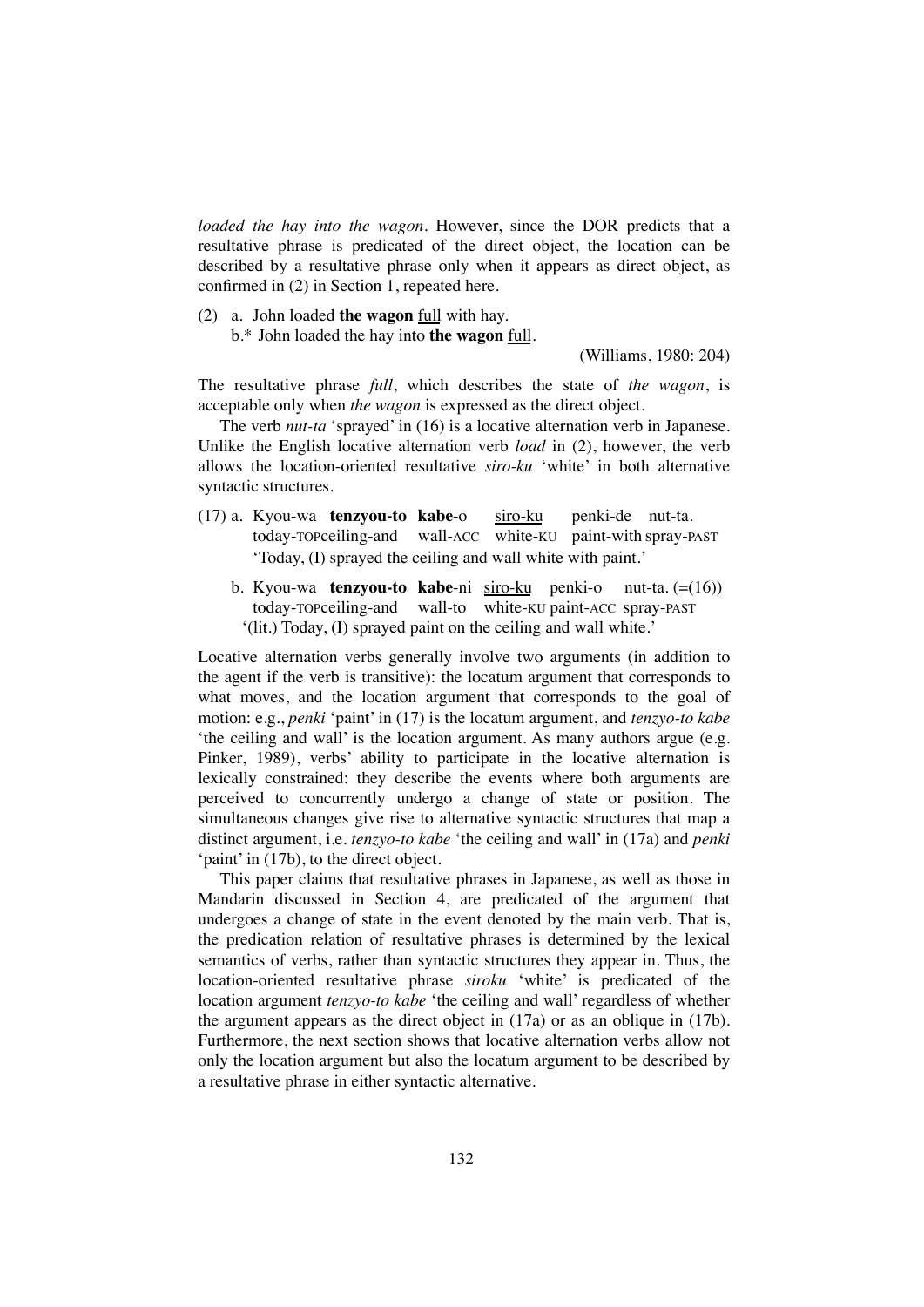*loaded the hay into the wagon*. However, since the DOR predicts that a resultative phrase is predicated of the direct object, the location can be described by a resultative phrase only when it appears as direct object, as confirmed in (2) in Section 1, repeated here.

(2) a. John loaded **the wagon** full with hay.

b.\* John loaded the hay into **the wagon** full.

(Williams, 1980: 204)

The resultative phrase *full*, which describes the state of *the wagon*, is acceptable only when *the wagon* is expressed as the direct object.

The verb *nut-ta* 'sprayed' in (16) is a locative alternation verb in Japanese. Unlike the English locative alternation verb *load* in (2), however, the verb allows the location-oriented resultative *siro-ku* 'white' in both alternative syntactic structures.

- (17) a. Kyou-wa **tenzyou-to kabe**-o siro-ku penki-de nut-ta. today-TOPceiling-and wall-ACC white-KU paint-with spray-PAST 'Today, (I) sprayed the ceiling and wall white with paint.'
	- b. Kyou-wa **tenzyou-to kabe**-ni siro-ku penki-o nut-ta. (=(16)) today-TOPceiling-and wall-to white-KU paint-ACC spray-PAST '(lit.) Today, (I) sprayed paint on the ceiling and wall white.'

Locative alternation verbs generally involve two arguments (in addition to the agent if the verb is transitive): the locatum argument that corresponds to what moves, and the location argument that corresponds to the goal of motion: e.g., *penki* 'paint' in (17) is the locatum argument, and *tenzyo-to kabe* 'the ceiling and wall' is the location argument. As many authors argue (e.g. Pinker, 1989), verbs' ability to participate in the locative alternation is lexically constrained: they describe the events where both arguments are perceived to concurrently undergo a change of state or position. The simultaneous changes give rise to alternative syntactic structures that map a distinct argument, i.e. *tenzyo-to kabe* 'the ceiling and wall' in (17a) and *penki*  'paint' in (17b), to the direct object.

This paper claims that resultative phrases in Japanese, as well as those in Mandarin discussed in Section 4, are predicated of the argument that undergoes a change of state in the event denoted by the main verb. That is, the predication relation of resultative phrases is determined by the lexical semantics of verbs, rather than syntactic structures they appear in. Thus, the location-oriented resultative phrase *siroku* 'white' is predicated of the location argument *tenzyo-to kabe* 'the ceiling and wall' regardless of whether the argument appears as the direct object in (17a) or as an oblique in (17b). Furthermore, the next section shows that locative alternation verbs allow not only the location argument but also the locatum argument to be described by a resultative phrase in either syntactic alternative.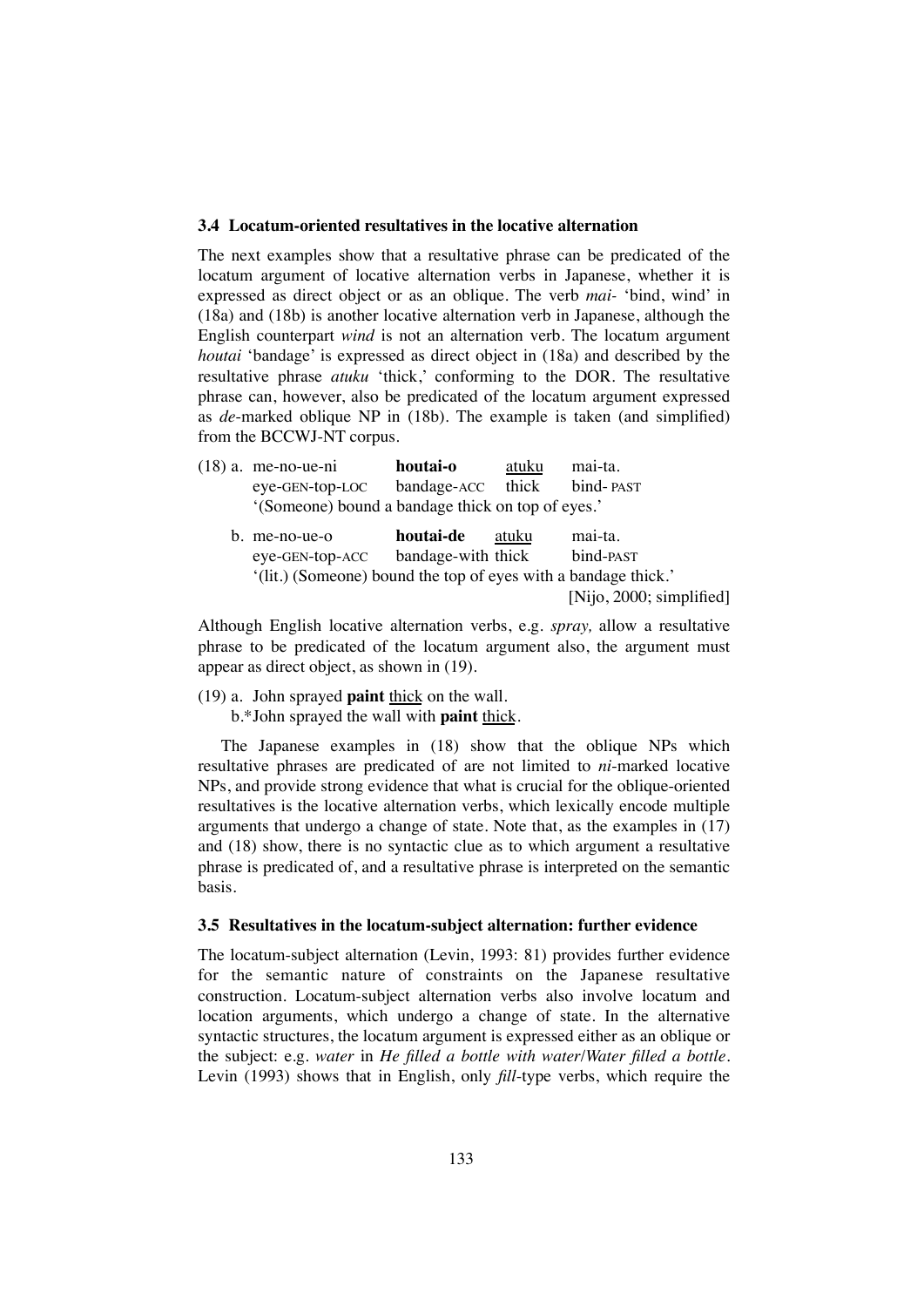#### **3.4 Locatum-oriented resultatives in the locative alternation**

The next examples show that a resultative phrase can be predicated of the locatum argument of locative alternation verbs in Japanese, whether it is expressed as direct object or as an oblique. The verb *mai-* 'bind, wind' in (18a) and (18b) is another locative alternation verb in Japanese, although the English counterpart *wind* is not an alternation verb. The locatum argument *houtai* 'bandage' is expressed as direct object in (18a) and described by the resultative phrase *atuku* 'thick,' conforming to the DOR. The resultative phrase can, however, also be predicated of the locatum argument expressed as *de*-marked oblique NP in (18b). The example is taken (and simplified) from the BCCWJ-NT corpus.

| $(18)$ a. me-no-ue-ni                                         | houtai-o           | atuku | mai-ta.                  |
|---------------------------------------------------------------|--------------------|-------|--------------------------|
| eye-GEN-top-LOC                                               | bandage-ACC thick  |       | bind-PAST                |
| '(Someone) bound a bandage thick on top of eyes.'             |                    |       |                          |
| $b.$ me-no-ue-o                                               | houtai-de          | atuku | mai-ta.                  |
| eye-GEN-top-ACC                                               | bandage-with thick |       | bind-PAST                |
| (lit.) (Someone) bound the top of eyes with a bandage thick.' |                    |       |                          |
|                                                               |                    |       | [Nijo, 2000; simplified] |

Although English locative alternation verbs, e.g. *spray,* allow a resultative phrase to be predicated of the locatum argument also, the argument must appear as direct object, as shown in (19).

(19) a. John sprayed **paint** thick on the wall.

b.\*John sprayed the wall with **paint** thick.

The Japanese examples in (18) show that the oblique NPs which resultative phrases are predicated of are not limited to *ni*-marked locative NPs, and provide strong evidence that what is crucial for the oblique-oriented resultatives is the locative alternation verbs, which lexically encode multiple arguments that undergo a change of state. Note that, as the examples in (17) and (18) show, there is no syntactic clue as to which argument a resultative phrase is predicated of, and a resultative phrase is interpreted on the semantic basis.

# **3.5 Resultatives in the locatum-subject alternation: further evidence**

The locatum-subject alternation (Levin, 1993: 81) provides further evidence for the semantic nature of constraints on the Japanese resultative construction. Locatum-subject alternation verbs also involve locatum and location arguments, which undergo a change of state. In the alternative syntactic structures, the locatum argument is expressed either as an oblique or the subject: e.g. *water* in *He filled a bottle with water*/*Water filled a bottle*. Levin (1993) shows that in English, only *fill*-type verbs, which require the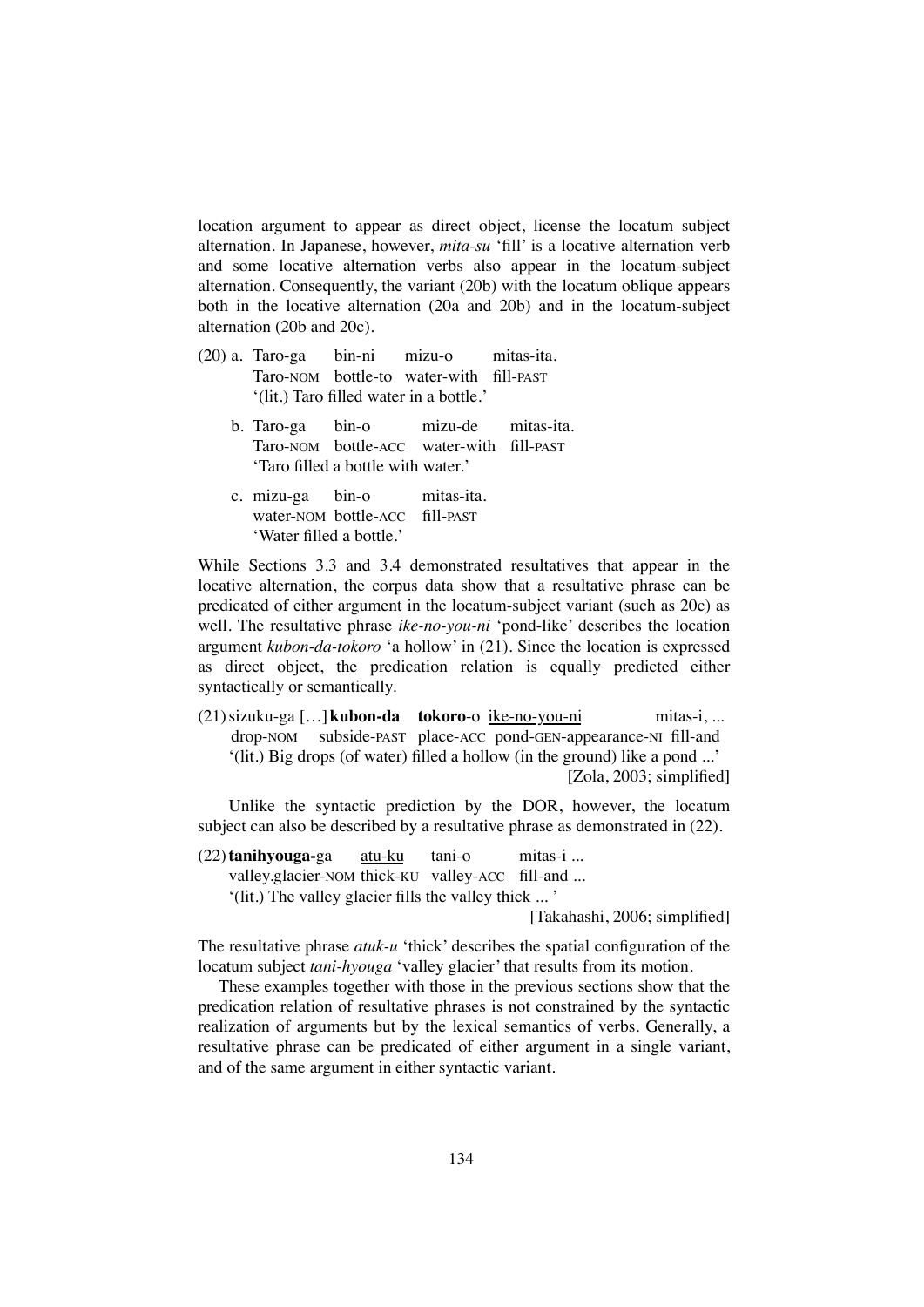location argument to appear as direct object, license the locatum subject alternation. In Japanese, however, *mita-su* 'fill' is a locative alternation verb and some locative alternation verbs also appear in the locatum-subject alternation. Consequently, the variant (20b) with the locatum oblique appears both in the locative alternation (20a and 20b) and in the locatum-subject alternation (20b and 20c).

- (20) a. Taro-ga bin-ni mizu-o mitas-ita. Taro-NOM bottle-to water-with fill-PAST '(lit.) Taro filled water in a bottle.'
	- b. Taro-ga bin-o mizu-de mitas-ita. Taro-NOM bottle-ACC water-with fill-PAST 'Taro filled a bottle with water.'
	- c. mizu-ga bin-o mitas-ita. water-NOM bottle-ACC fill-PAST 'Water filled a bottle.'

While Sections 3.3 and 3.4 demonstrated resultatives that appear in the locative alternation, the corpus data show that a resultative phrase can be predicated of either argument in the locatum-subject variant (such as 20c) as well. The resultative phrase *ike-no-you-ni* 'pond-like' describes the location argument *kubon-da-tokoro* 'a hollow' in (21). Since the location is expressed as direct object, the predication relation is equally predicted either syntactically or semantically.

(21) sizuku-ga […]**kubon-da tokoro**-o ike-no-you-ni mitas-i, ... drop-NOM subside-PAST place-ACC pond-GEN-appearance-NI fill-and '(lit.) Big drops (of water) filled a hollow (in the ground) like a pond ...' [Zola, 2003; simplified]

Unlike the syntactic prediction by the DOR, however, the locatum subject can also be described by a resultative phrase as demonstrated in (22).

(22)**tanihyouga-**ga atu-ku tani-o mitas-i ... valley.glacier-NOM thick-KU valley-ACC fill-and ... '(lit.) The valley glacier fills the valley thick ... '

[Takahashi, 2006; simplified]

The resultative phrase *atuk-u* 'thick' describes the spatial configuration of the locatum subject *tani-hyouga* 'valley glacier' that results from its motion.

These examples together with those in the previous sections show that the predication relation of resultative phrases is not constrained by the syntactic realization of arguments but by the lexical semantics of verbs. Generally, a resultative phrase can be predicated of either argument in a single variant, and of the same argument in either syntactic variant.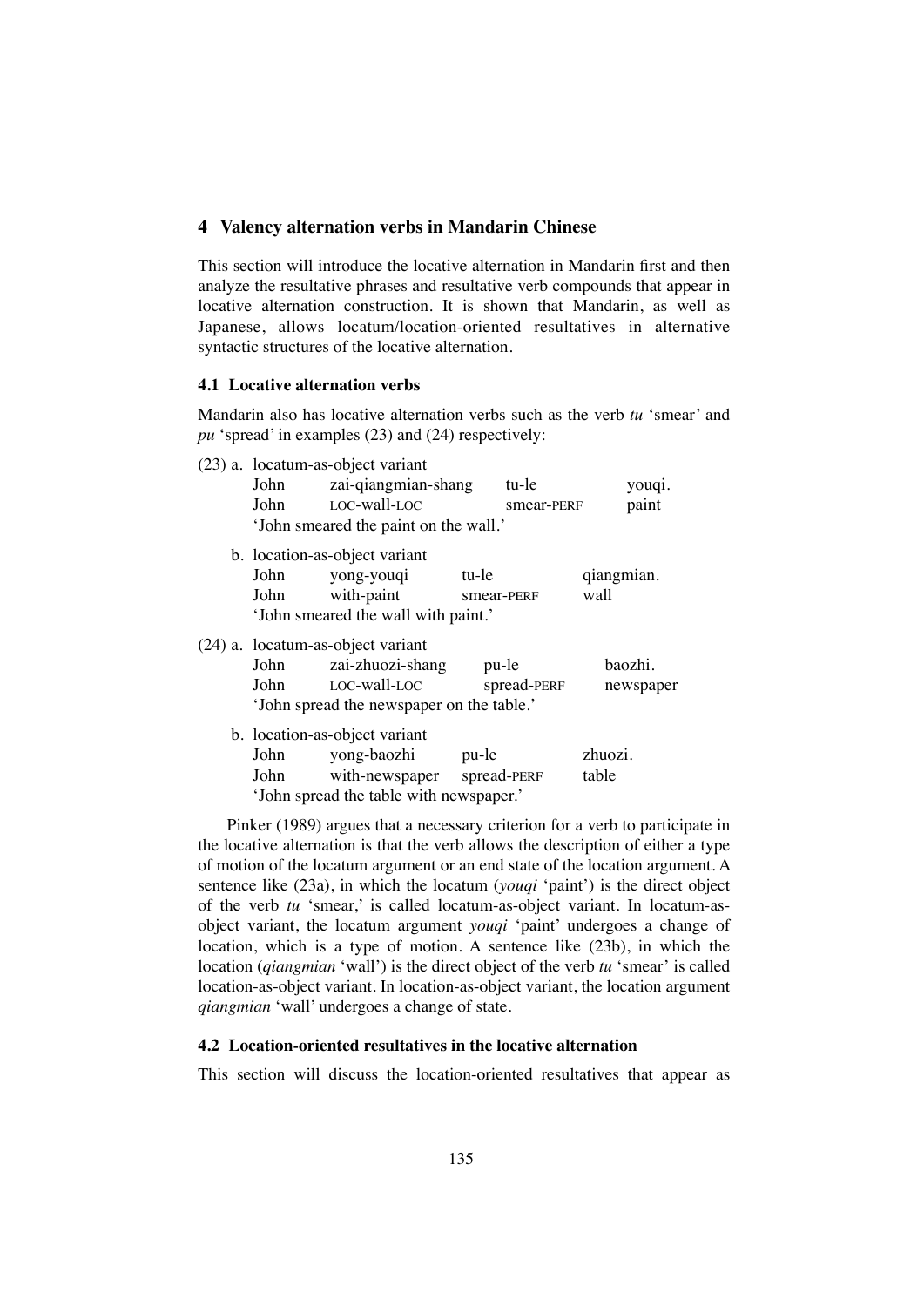# **4 Valency alternation verbs in Mandarin Chinese**

This section will introduce the locative alternation in Mandarin first and then analyze the resultative phrases and resultative verb compounds that appear in locative alternation construction. It is shown that Mandarin, as well as Japanese, allows locatum/location-oriented resultatives in alternative syntactic structures of the locative alternation.

# **4.1 Locative alternation verbs**

Mandarin also has locative alternation verbs such as the verb *tu* 'smear' and *pu* 'spread' in examples (23) and (24) respectively:

| (23) a. locatum-as-object variant |                                           |            |             |            |           |
|-----------------------------------|-------------------------------------------|------------|-------------|------------|-----------|
|                                   | John zai-qiangmian-shang                  |            | tu-le       |            | youqi.    |
| John                              | LOC-wall-LOC                              |            | smear-PERF  |            | paint     |
|                                   | 'John smeared the paint on the wall.'     |            |             |            |           |
|                                   | b. location-as-object variant             |            |             |            |           |
| John                              | yong-youqi                                | tu-le      |             | qiangmian. |           |
| John                              | with-paint                                | smear-PERF |             | wall       |           |
|                                   | 'John smeared the wall with paint.'       |            |             |            |           |
|                                   | (24) a. locatum-as-object variant         |            |             |            |           |
|                                   | John zai-zhuozi-shang                     | pu-le      |             |            | baozhi.   |
| John                              | LOC-Wall-LOC                              |            | spread-PERF |            | newspaper |
|                                   | 'John spread the newspaper on the table.' |            |             |            |           |
|                                   | b. location-as-object variant             |            |             |            |           |
| John                              | yong-baozhi                               | pu-le      |             | zhuozi.    |           |
| John                              | with-newspaper spread-PERF                |            |             | table      |           |
|                                   | 'John spread the table with newspaper.'   |            |             |            |           |

Pinker (1989) argues that a necessary criterion for a verb to participate in the locative alternation is that the verb allows the description of either a type of motion of the locatum argument or an end state of the location argument. A sentence like (23a), in which the locatum (*youqi* 'paint') is the direct object of the verb *tu* 'smear,' is called locatum-as-object variant. In locatum-asobject variant, the locatum argument *youqi* 'paint' undergoes a change of location, which is a type of motion. A sentence like (23b), in which the location (*qiangmian* 'wall') is the direct object of the verb *tu* 'smear' is called location-as-object variant. In location-as-object variant, the location argument *qiangmian* 'wall' undergoes a change of state.

# **4.2 Location-oriented resultatives in the locative alternation**

This section will discuss the location-oriented resultatives that appear as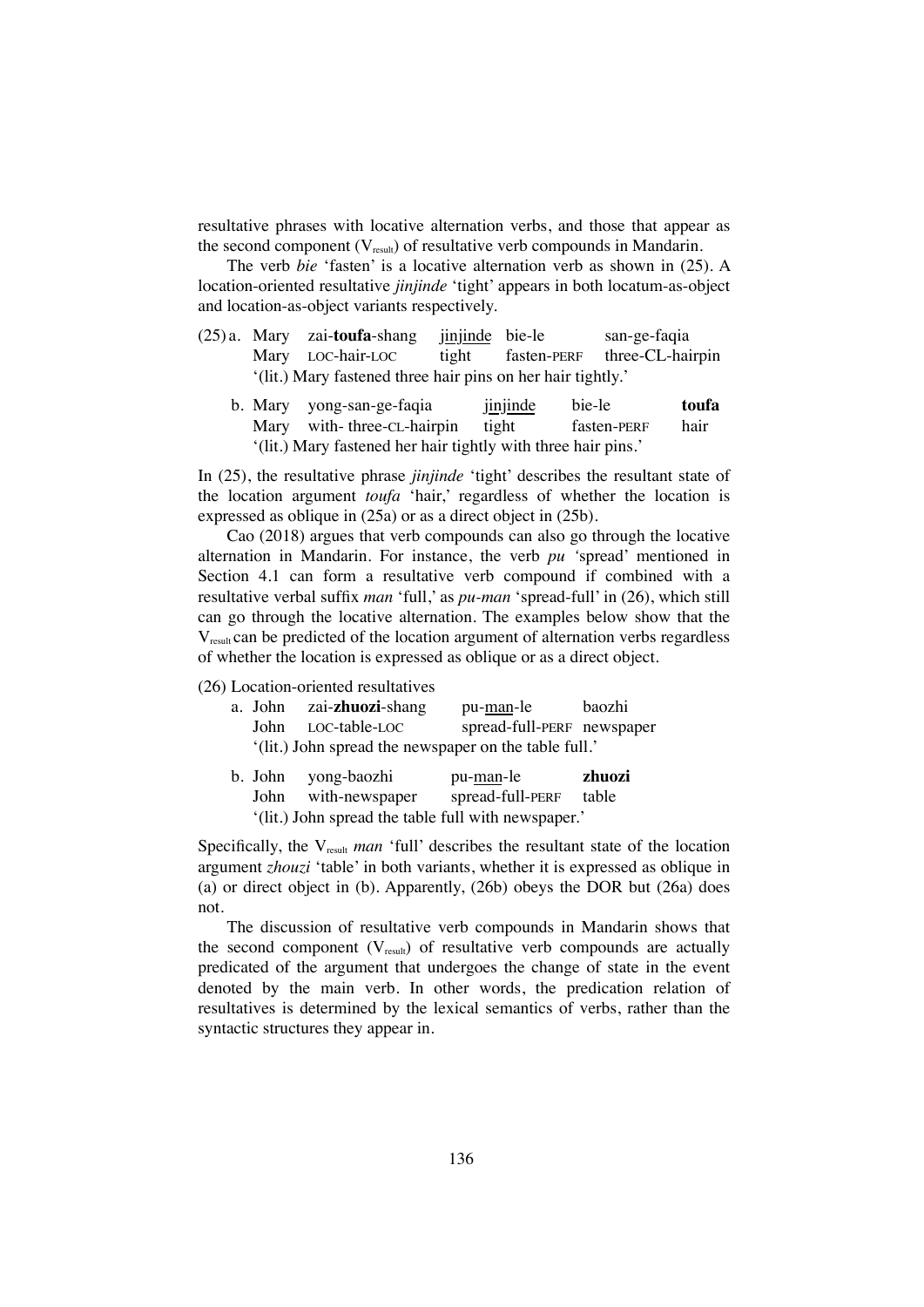resultative phrases with locative alternation verbs, and those that appear as the second component  $(V_{result})$  of resultative verb compounds in Mandarin.

The verb *bie* 'fasten' is a locative alternation verb as shown in (25). A location-oriented resultative *jinjinde* 'tight' appears in both locatum-as-object and location-as-object variants respectively.

- (25) a. Mary zai-**toufa**-shang jinjinde bie-le san-ge-faqia Mary LOC-hair-LOC tight fasten-PERF three-CL-hairpin '(lit.) Mary fastened three hair pins on her hair tightly.'
	- b. Mary yong-san-ge-faqia jinjinde bie-le **toufa** Mary with-three-CL-hairpin tight fasten-PERF hair '(lit.) Mary fastened her hair tightly with three hair pins.'

In (25), the resultative phrase *jinjinde* 'tight' describes the resultant state of the location argument *toufa* 'hair,' regardless of whether the location is expressed as oblique in (25a) or as a direct object in (25b).

Cao (2018) argues that verb compounds can also go through the locative alternation in Mandarin. For instance, the verb *pu '*spread' mentioned in Section 4.1 can form a resultative verb compound if combined with a resultative verbal suffix *man* 'full,' as *pu-man* 'spread-full' in (26), which still can go through the locative alternation. The examples below show that the  $V_{result}$  can be predicted of the location argument of alternation verbs regardless of whether the location is expressed as oblique or as a direct object.

# (26) Location-oriented resultatives

|                                                       |  | a. John zai-zhuozi-shang | pu- <u>man</u> -le         | baozhi |  |
|-------------------------------------------------------|--|--------------------------|----------------------------|--------|--|
|                                                       |  | John LOC-table-LOC       | spread-full-PERF newspaper |        |  |
| '(lit.) John spread the newspaper on the table full.' |  |                          |                            |        |  |

|                                                    |  | b. John yong-baozhi | pu- <u>man</u> -le     | zhuozi |  |
|----------------------------------------------------|--|---------------------|------------------------|--------|--|
|                                                    |  | John with-newspaper | spread-full-PERF table |        |  |
| (lit.) John spread the table full with newspaper.' |  |                     |                        |        |  |

Specifically, the V<sub>result</sub> *man* 'full' describes the resultant state of the location argument *zhouzi* 'table' in both variants, whether it is expressed as oblique in (a) or direct object in (b). Apparently, (26b) obeys the DOR but (26a) does not.

The discussion of resultative verb compounds in Mandarin shows that the second component  $(V_{result})$  of resultative verb compounds are actually predicated of the argument that undergoes the change of state in the event denoted by the main verb. In other words, the predication relation of resultatives is determined by the lexical semantics of verbs, rather than the syntactic structures they appear in.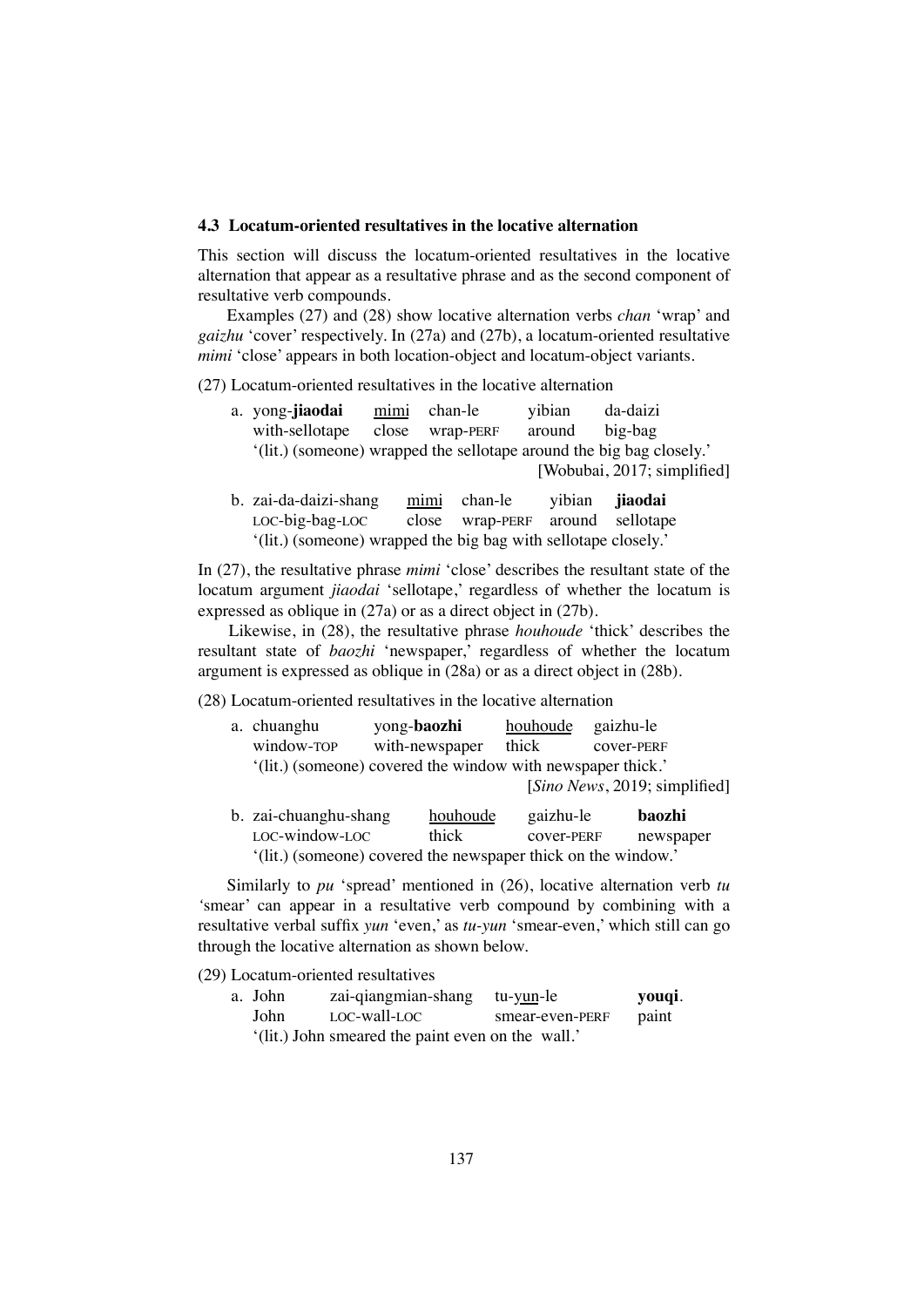#### **4.3 Locatum-oriented resultatives in the locative alternation**

This section will discuss the locatum-oriented resultatives in the locative alternation that appear as a resultative phrase and as the second component of resultative verb compounds.

Examples (27) and (28) show locative alternation verbs *chan* 'wrap' and *gaizhu* 'cover' respectively. In (27a) and (27b), a locatum-oriented resultative *mimi* 'close' appears in both location-object and locatum-object variants.

(27) Locatum-oriented resultatives in the locative alternation

| a. yong- <b>jiaodai</b>                                             |  | mimi chan-le           | yibian | da-daizi                    |  |
|---------------------------------------------------------------------|--|------------------------|--------|-----------------------------|--|
| with-sellotape                                                      |  | close wrap-PERF around |        | big-bag                     |  |
| (iit.) (someone) wrapped the sellotape around the big bag closely.' |  |                        |        |                             |  |
|                                                                     |  |                        |        | [Wobubai, 2017; simplified] |  |

| b. zai-da-daizi-shang                                          | mimi chan-le                     | yibian <b>jiaodai</b> |  |
|----------------------------------------------------------------|----------------------------------|-----------------------|--|
| $LOC-big-bag-LOC$                                              | close wrap-PERF around sellotape |                       |  |
| '(lit.) (someone) wrapped the big bag with sellotape closely.' |                                  |                       |  |

In (27), the resultative phrase *mimi* 'close' describes the resultant state of the locatum argument *jiaodai* 'sellotape,' regardless of whether the locatum is expressed as oblique in (27a) or as a direct object in (27b).

Likewise, in (28), the resultative phrase *houhoude* 'thick' describes the resultant state of *baozhi* 'newspaper,' regardless of whether the locatum argument is expressed as oblique in (28a) or as a direct object in (28b).

(28) Locatum-oriented resultatives in the locative alternation

| a. chuanghu                                                | yong- <b>baozhi</b> | houhoude  | gaizhu-le                     |  |
|------------------------------------------------------------|---------------------|-----------|-------------------------------|--|
| window-TOP                                                 | with-newspaper      | thick     | cover-PERF                    |  |
| (lit.) (someone) covered the window with newspaper thick.' |                     |           |                               |  |
|                                                            |                     |           | [Sino News, 2019; simplified] |  |
| h zai-chuanghu-shang                                       | houhoude            | oaizhu-le | haozhi                        |  |

| b. zai-chuanghu-shang                                        | houhoude | gaizhu-le  | baozhi    |  |
|--------------------------------------------------------------|----------|------------|-----------|--|
| LOC-window-LOC                                               | thick    | COVER-PERF | newspaper |  |
| (iit.) (someone) covered the newspaper thick on the window.' |          |            |           |  |

Similarly to *pu* 'spread' mentioned in (26), locative alternation verb *tu '*smear' can appear in a resultative verb compound by combining with a resultative verbal suffix *yun* 'even,' as *tu-yun* 'smear-even,' which still can go through the locative alternation as shown below.

(29) Locatum-oriented resultatives

| a. John                                           | zai-qiangmian-shang tu-yun-le |                 | youqi. |  |
|---------------------------------------------------|-------------------------------|-----------------|--------|--|
| John                                              | LOC-Wall-LOC                  | smear-even-PERF | paint  |  |
| '(lit.) John smeared the paint even on the wall.' |                               |                 |        |  |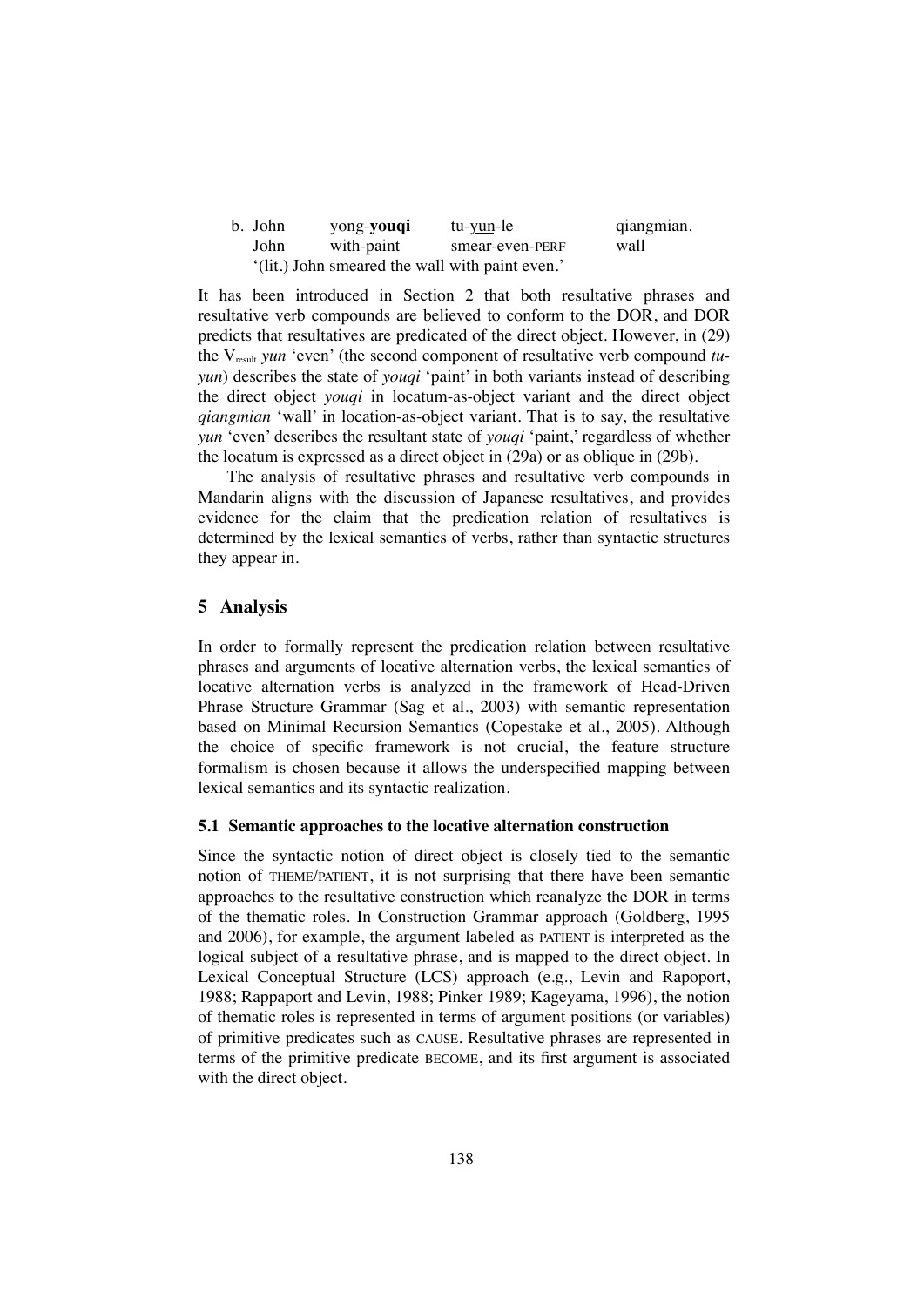| b. John                                         | yong-youqi | tu-y <u>un</u> -le | qiangmian. |
|-------------------------------------------------|------------|--------------------|------------|
| John                                            | with-paint | smear-even-PERF    | wall       |
| '(lit.) John smeared the wall with paint even.' |            |                    |            |

It has been introduced in Section 2 that both resultative phrases and resultative verb compounds are believed to conform to the DOR, and DOR predicts that resultatives are predicated of the direct object. However, in (29) the Vresult *yun* 'even' (the second component of resultative verb compound *tuyun*) describes the state of *youqi* 'paint' in both variants instead of describing the direct object *youqi* in locatum-as-object variant and the direct object *qiangmian* 'wall' in location-as-object variant. That is to say, the resultative *yun* 'even' describes the resultant state of *youqi* 'paint,' regardless of whether the locatum is expressed as a direct object in (29a) or as oblique in (29b).

The analysis of resultative phrases and resultative verb compounds in Mandarin aligns with the discussion of Japanese resultatives, and provides evidence for the claim that the predication relation of resultatives is determined by the lexical semantics of verbs, rather than syntactic structures they appear in.

# **5 Analysis**

In order to formally represent the predication relation between resultative phrases and arguments of locative alternation verbs, the lexical semantics of locative alternation verbs is analyzed in the framework of Head-Driven Phrase Structure Grammar (Sag et al., 2003) with semantic representation based on Minimal Recursion Semantics (Copestake et al., 2005). Although the choice of specific framework is not crucial, the feature structure formalism is chosen because it allows the underspecified mapping between lexical semantics and its syntactic realization.

# **5.1 Semantic approaches to the locative alternation construction**

Since the syntactic notion of direct object is closely tied to the semantic notion of THEME/PATIENT, it is not surprising that there have been semantic approaches to the resultative construction which reanalyze the DOR in terms of the thematic roles. In Construction Grammar approach (Goldberg, 1995 and 2006), for example, the argument labeled as PATIENT is interpreted as the logical subject of a resultative phrase, and is mapped to the direct object. In Lexical Conceptual Structure (LCS) approach (e.g., Levin and Rapoport, 1988; Rappaport and Levin, 1988; Pinker 1989; Kageyama, 1996), the notion of thematic roles is represented in terms of argument positions (or variables) of primitive predicates such as CAUSE. Resultative phrases are represented in terms of the primitive predicate BECOME, and its first argument is associated with the direct object.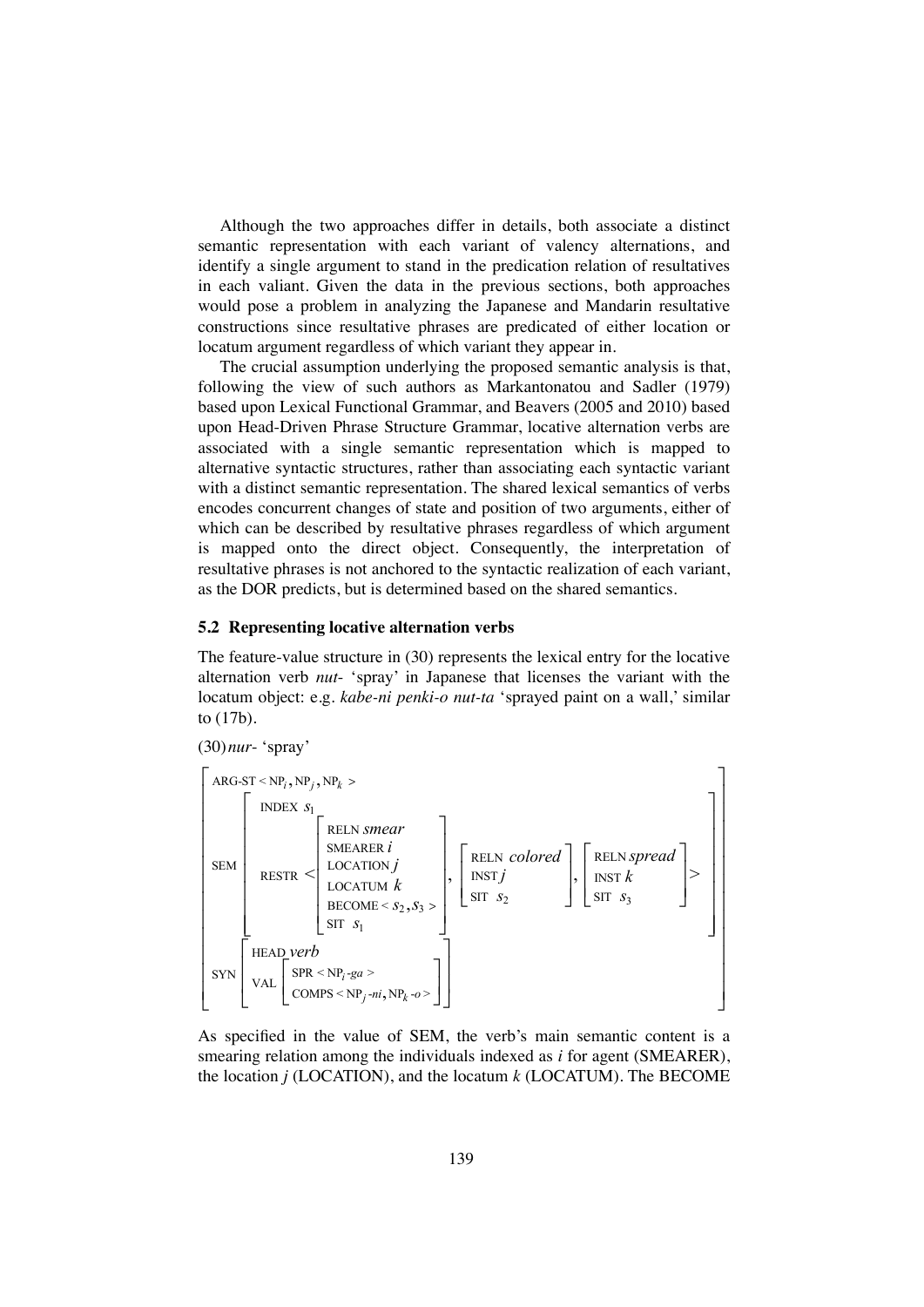Although the two approaches differ in details, both associate a distinct semantic representation with each variant of valency alternations, and identify a single argument to stand in the predication relation of resultatives in each valiant. Given the data in the previous sections, both approaches would pose a problem in analyzing the Japanese and Mandarin resultative constructions since resultative phrases are predicated of either location or locatum argument regardless of which variant they appear in.

The crucial assumption underlying the proposed semantic analysis is that, following the view of such authors as Markantonatou and Sadler (1979) based upon Lexical Functional Grammar, and Beavers (2005 and 2010) based upon Head-Driven Phrase Structure Grammar, locative alternation verbs are associated with a single semantic representation which is mapped to alternative syntactic structures, rather than associating each syntactic variant with a distinct semantic representation. The shared lexical semantics of verbs encodes concurrent changes of state and position of two arguments, either of which can be described by resultative phrases regardless of which argument is mapped onto the direct object. Consequently, the interpretation of resultative phrases is not anchored to the syntactic realization of each variant, as the DOR predicts, but is determined based on the shared semantics.

# **5.2 Representing locative alternation verbs**

The feature-value structure in (30) represents the lexical entry for the locative alternation verb *nut*- 'spray' in Japanese that licenses the variant with the locatum object: e.g. *kabe-ni penki-o nut-ta* 'sprayed paint on a wall,' similar to (17b).

(30)*nur*- 'spray'  $\text{ARG-ST} \le \text{NP}_i$ ,  $\text{NP}_i$ ,  $\text{NP}_k$ SEM INDEX *s*<sup>1</sup> RESTR < RELN *smear* SMEARER *i* LOCATION *j* LOCATUM *k* BECOME  $<$   $s_2$ ,  $s_3$   $>$ SIT *s*<sup>1</sup>  $\mathsf I$ ⎣  $\mathsf I$  $\mathsf I$  $\mathsf I$  $\mathsf I$  $\mathsf I$ ⎤  $\overline{\phantom{a}}$ ⎥ ⎥ ⎥ ⎥ ⎥ , RELN *colored* INST *j* SIT *s*<sup>2</sup>  $\mathsf I$ ⎣  $\mathsf I$  $\mathsf{I}$ ⎤  $\overline{\phantom{a}}$ ⎥ ⎥ , RELN *spread* INST *k* SIT *s*<sup>3</sup>  $\mathsf I$ ⎣  $\mathsf I$  $\mathsf I$ ⎤  $\overline{\phantom{a}}$ ⎥ ⎥ >  $\mathsf{I}$ ⎣  $\mathsf I$  $\mathsf I$  $\mathsf I$  $\mathsf I$  $\mathsf I$  $\mathsf I$ Լ ⎤  $\overline{\phantom{a}}$ ⎥ ⎥ ⎥ ⎥ ⎥ ⎥ ⎥ SYN HEAD *verb* ⎡ VAL  $SPR < NP<sub>i</sub>$  -*ga* >  $COMPS < NP_j$ -ni,  $NP_k$ -o>  $\mathsf I$  $\begin{bmatrix} \text{SPR} < \text{NP}_i-ga > \\ \text{COMPS} < \text{NP}_j - ni, \text{NP}_k - o > \end{bmatrix}$  $\overline{\phantom{a}}$ ⎥ ⎣  $\mathsf I$  $\mathsf{I}$ ⎤  $\overline{\phantom{a}}$ ⎥ ⎥  $\mathsf{I}$ ⎣  $\mathsf I$  $\mathsf I$  $\mathsf I$  $\mathsf I$  $\mathsf I$  $\mathsf I$  $\mathsf I$  $\mathsf I$  $\mathsf I$  $\mathsf I$  $\mathsf I$  $\mathsf{I}$ ⎤  $\overline{\phantom{a}}$ ⎥ ⎥ ⎥ ⎥ ⎥ ⎥ ⎥ ⎥

As specified in the value of SEM, the verb's main semantic content is a smearing relation among the individuals indexed as *i* for agent (SMEARER), the location *j* (LOCATION), and the locatum *k* (LOCATUM). The BECOME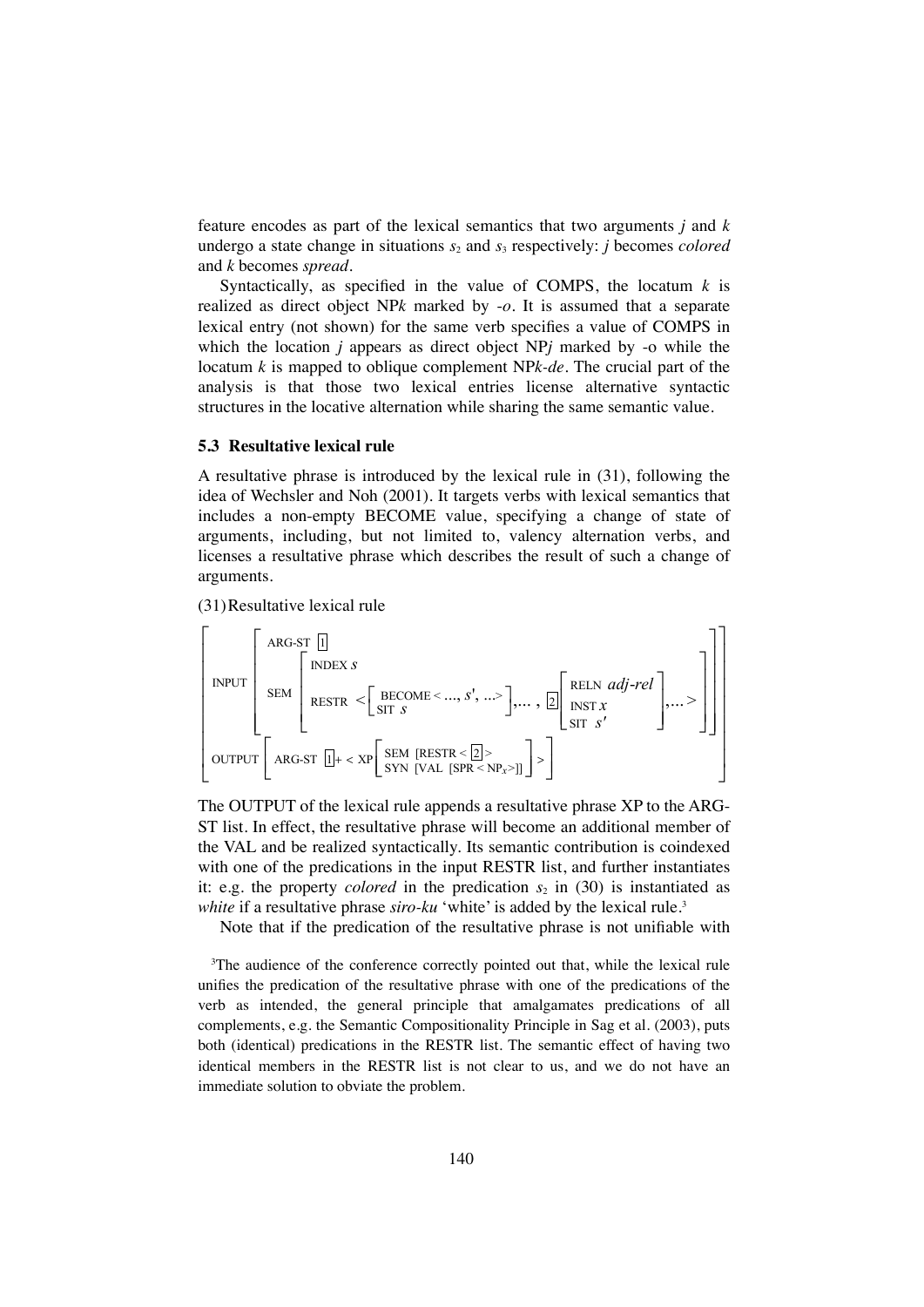feature encodes as part of the lexical semantics that two arguments *j* and *k* undergo a state change in situations *s*2 and *s*3 respectively: *j* becomes *colored* and *k* becomes *spread*.

Syntactically, as specified in the value of COMPS, the locatum *k* is realized as direct object NP*k* marked by -*o*. It is assumed that a separate lexical entry (not shown) for the same verb specifies a value of COMPS in which the location *j* appears as direct object NP*j* marked by -o while the locatum *k* is mapped to oblique complement NP*k-de*. The crucial part of the analysis is that those two lexical entries license alternative syntactic structures in the locative alternation while sharing the same semantic value.

# **5.3 Resultative lexical rule**

A resultative phrase is introduced by the lexical rule in (31), following the idea of Wechsler and Noh (2001). It targets verbs with lexical semantics that includes a non-empty BECOME value, specifying a change of state of arguments, including, but not limited to, valency alternation verbs, and licenses a resultative phrase which describes the result of such a change of arguments.

(31)Resultative lexical rule



The OUTPUT of the lexical rule appends a resultative phrase XP to the ARG-ST list. In effect, the resultative phrase will become an additional member of the VAL and be realized syntactically. Its semantic contribution is coindexed with one of the predications in the input RESTR list, and further instantiates it: e.g. the property *colored* in the predication  $s_2$  in (30) is instantiated as *white* if a resultative phrase *siro-ku* 'white' is added by the lexical rule.<sup>3</sup>

Note that if the predication of the resultative phrase is not unifiable with

<sup>3</sup>The audience of the conference correctly pointed out that, while the lexical rule unifies the predication of the resultative phrase with one of the predications of the verb as intended, the general principle that amalgamates predications of all complements, e.g. the Semantic Compositionality Principle in Sag et al. (2003), puts both (identical) predications in the RESTR list. The semantic effect of having two identical members in the RESTR list is not clear to us, and we do not have an immediate solution to obviate the problem.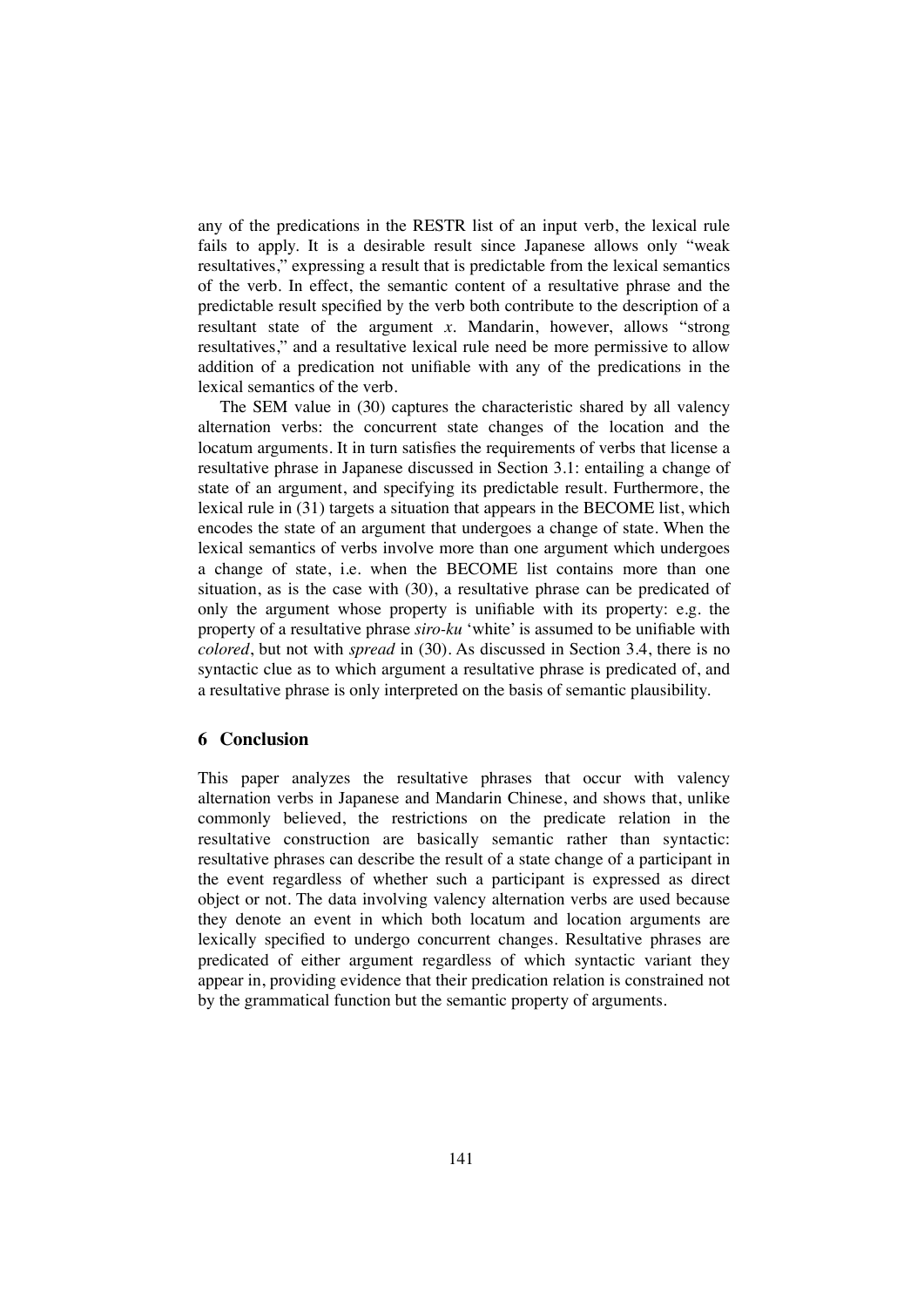any of the predications in the RESTR list of an input verb, the lexical rule fails to apply. It is a desirable result since Japanese allows only "weak resultatives," expressing a result that is predictable from the lexical semantics of the verb. In effect, the semantic content of a resultative phrase and the predictable result specified by the verb both contribute to the description of a resultant state of the argument *x*. Mandarin, however, allows "strong resultatives," and a resultative lexical rule need be more permissive to allow addition of a predication not unifiable with any of the predications in the lexical semantics of the verb.

The SEM value in (30) captures the characteristic shared by all valency alternation verbs: the concurrent state changes of the location and the locatum arguments. It in turn satisfies the requirements of verbs that license a resultative phrase in Japanese discussed in Section 3.1: entailing a change of state of an argument, and specifying its predictable result. Furthermore, the lexical rule in (31) targets a situation that appears in the BECOME list, which encodes the state of an argument that undergoes a change of state. When the lexical semantics of verbs involve more than one argument which undergoes a change of state, i.e. when the BECOME list contains more than one situation, as is the case with (30), a resultative phrase can be predicated of only the argument whose property is unifiable with its property: e.g. the property of a resultative phrase *siro-ku* 'white' is assumed to be unifiable with *colored*, but not with *spread* in (30). As discussed in Section 3.4, there is no syntactic clue as to which argument a resultative phrase is predicated of, and a resultative phrase is only interpreted on the basis of semantic plausibility.

# **6 Conclusion**

This paper analyzes the resultative phrases that occur with valency alternation verbs in Japanese and Mandarin Chinese, and shows that, unlike commonly believed, the restrictions on the predicate relation in the resultative construction are basically semantic rather than syntactic: resultative phrases can describe the result of a state change of a participant in the event regardless of whether such a participant is expressed as direct object or not. The data involving valency alternation verbs are used because they denote an event in which both locatum and location arguments are lexically specified to undergo concurrent changes. Resultative phrases are predicated of either argument regardless of which syntactic variant they appear in, providing evidence that their predication relation is constrained not by the grammatical function but the semantic property of arguments.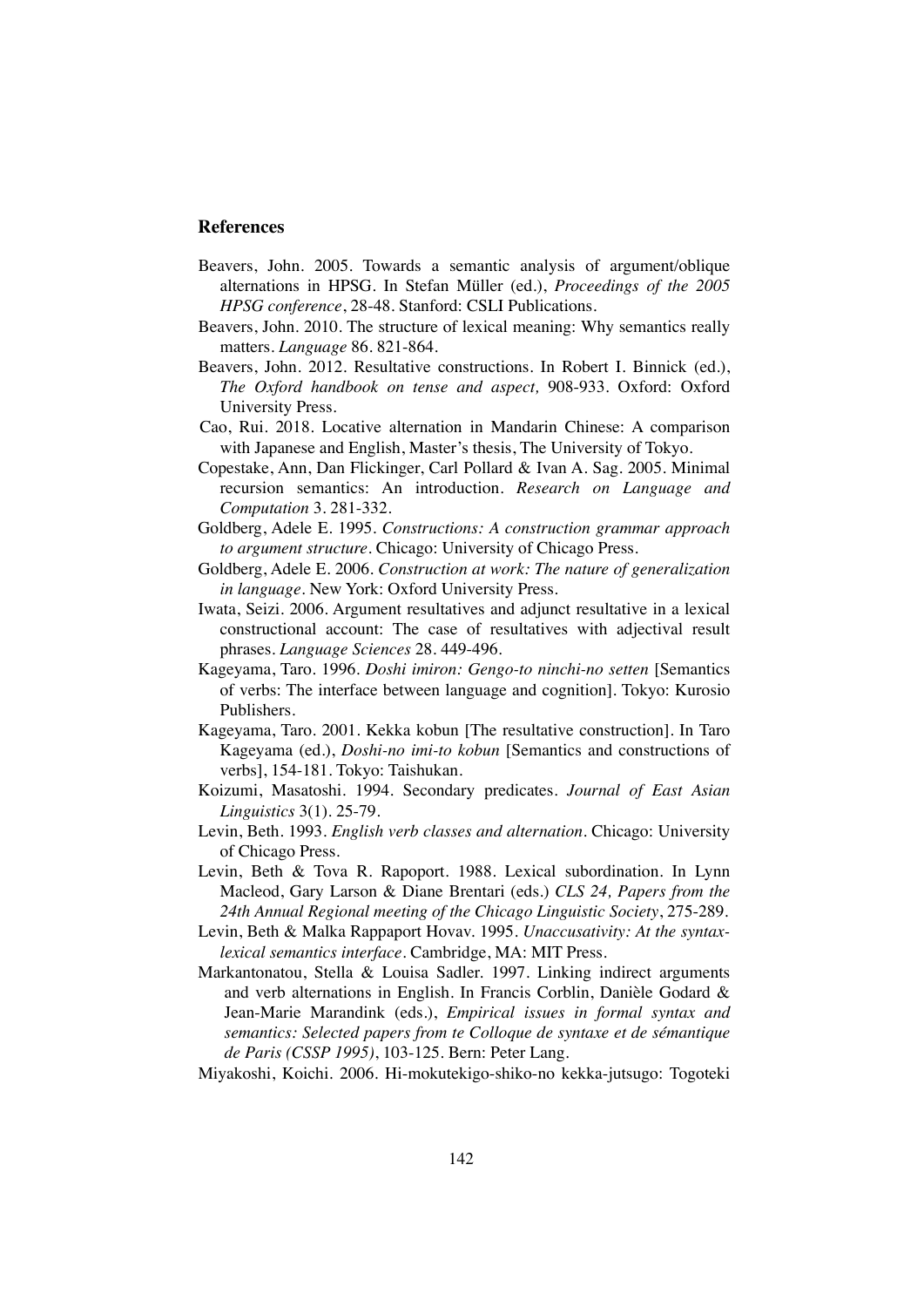# **References**

- Beavers, John. 2005. Towards a semantic analysis of argument/oblique alternations in HPSG. In Stefan Müller (ed.), *Proceedings of the 2005 HPSG conference*, 28-48. Stanford: CSLI Publications.
- Beavers, John. 2010. The structure of lexical meaning: Why semantics really matters. *Language* 86. 821-864.
- Beavers, John. 2012. Resultative constructions. In Robert I. Binnick (ed.), *The Oxford handbook on tense and aspect,* 908-933. Oxford: Oxford University Press.
- Cao, Rui. 2018. Locative alternation in Mandarin Chinese: A comparison with Japanese and English, Master's thesis, The University of Tokyo.
- Copestake, Ann, Dan Flickinger, Carl Pollard & Ivan A. Sag. 2005. Minimal recursion semantics: An introduction. *Research on Language and Computation* 3. 281-332.
- Goldberg, Adele E. 1995. *Constructions: A construction grammar approach to argument structure*. Chicago: University of Chicago Press.
- Goldberg, Adele E. 2006. *Construction at work: The nature of generalization in language*. New York: Oxford University Press.
- Iwata, Seizi. 2006. Argument resultatives and adjunct resultative in a lexical constructional account: The case of resultatives with adjectival result phrases. *Language Sciences* 28. 449-496.
- Kageyama, Taro. 1996. *Doshi imiron: Gengo-to ninchi-no setten* [Semantics of verbs: The interface between language and cognition]. Tokyo: Kurosio Publishers.
- Kageyama, Taro. 2001. Kekka kobun [The resultative construction]. In Taro Kageyama (ed.), *Doshi-no imi-to kobun* [Semantics and constructions of verbs], 154-181. Tokyo: Taishukan.
- Koizumi, Masatoshi. 1994. Secondary predicates. *Journal of East Asian Linguistics* 3(1). 25-79.
- Levin, Beth. 1993. *English verb classes and alternation*. Chicago: University of Chicago Press.
- Levin, Beth & Tova R. Rapoport. 1988. Lexical subordination. In Lynn Macleod, Gary Larson & Diane Brentari (eds.) *CLS 24, Papers from the 24th Annual Regional meeting of the Chicago Linguistic Society*, 275-289.
- Levin, Beth & Malka Rappaport Hovav. 1995. *Unaccusativity: At the syntaxlexical semantics interface*. Cambridge, MA: MIT Press.
- Markantonatou, Stella & Louisa Sadler. 1997. Linking indirect arguments and verb alternations in English. In Francis Corblin, Danièle Godard & Jean-Marie Marandink (eds.), *Empirical issues in formal syntax and semantics: Selected papers from te Colloque de syntaxe et de sémantique de Paris (CSSP 1995)*, 103-125*.* Bern: Peter Lang.
- Miyakoshi, Koichi. 2006. Hi-mokutekigo-shiko-no kekka-jutsugo: Togoteki